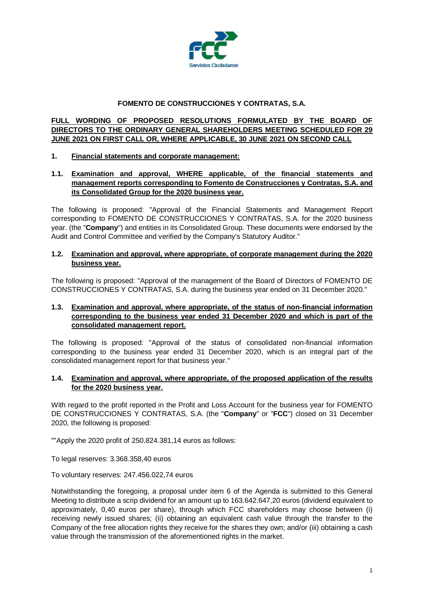

## **FOMENTO DE CONSTRUCCIONES Y CONTRATAS, S.A.**

## **FULL WORDING OF PROPOSED RESOLUTIONS FORMULATED BY THE BOARD OF DIRECTORS TO THE ORDINARY GENERAL SHAREHOLDERS MEETING SCHEDULED FOR 29 JUNE 2021 ON FIRST CALL OR, WHERE APPLICABLE, 30 JUNE 2021 ON SECOND CALL**

#### **1. Financial statements and corporate management:**

## **1.1. Examination and approval, WHERE applicable, of the financial statements and management reports corresponding to Fomento de Construcciones y Contratas, S.A. and its Consolidated Group for the 2020 business year.**

The following is proposed: "Approval of the Financial Statements and Management Report corresponding to FOMENTO DE CONSTRUCCIONES Y CONTRATAS, S.A. for the 2020 business year. (the "**Company**") and entities in its Consolidated Group. These documents were endorsed by the Audit and Control Committee and verified by the Company's Statutory Auditor."

### **1.2. Examination and approval, where appropriate, of corporate management during the 2020 business year.**

The following is proposed: "Approval of the management of the Board of Directors of FOMENTO DE CONSTRUCCIONES Y CONTRATAS, S.A. during the business year ended on 31 December 2020."

#### **1.3. Examination and approval, where appropriate, of the status of non-financial information corresponding to the business year ended 31 December 2020 and which is part of the consolidated management report.**

The following is proposed: "Approval of the status of consolidated non-financial information corresponding to the business year ended 31 December 2020, which is an integral part of the consolidated management report for that business year."

### **1.4. Examination and approval, where appropriate, of the proposed application of the results for the 2020 business year.**

With regard to the profit reported in the Profit and Loss Account for the business year for FOMENTO DE CONSTRUCCIONES Y CONTRATAS, S.A. (the "**Company**" or "**FCC**") closed on 31 December 2020, the following is proposed:

""Apply the 2020 profit of 250.824.381,14 euros as follows:

To legal reserves: 3.368.358,40 euros

To voluntary reserves: 247.456.022,74 euros

Notwithstanding the foregoing, a proposal under item 6 of the Agenda is submitted to this General Meeting to distribute a scrip dividend for an amount up to 163.642.647,20 euros (dividend equivalent to approximately, 0,40 euros per share), through which FCC shareholders may choose between (i) receiving newly issued shares; (ii) obtaining an equivalent cash value through the transfer to the Company of the free allocation rights they receive for the shares they own; and/or (iii) obtaining a cash value through the transmission of the aforementioned rights in the market.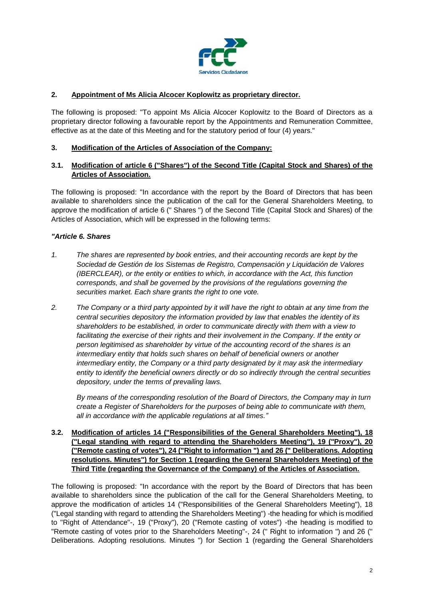

### **2. Appointment of Ms Alicia Alcocer Koplowitz as proprietary director.**

The following is proposed: "To appoint Ms Alicia Alcocer Koplowitz to the Board of Directors as a proprietary director following a favourable report by the Appointments and Remuneration Committee, effective as at the date of this Meeting and for the statutory period of four (4) years."

### **3. Modification of the Articles of Association of the Company:**

### **3.1. Modification of article 6 ("Shares") of the Second Title (Capital Stock and Shares) of the Articles of Association.**

The following is proposed: "In accordance with the report by the Board of Directors that has been available to shareholders since the publication of the call for the General Shareholders Meeting, to approve the modification of article 6 (" Shares ") of the Second Title (Capital Stock and Shares) of the Articles of Association, which will be expressed in the following terms:

## *"Article 6. Shares*

- *1. The shares are represented by book entries, and their accounting records are kept by the Sociedad de Gestión de los Sistemas de Registro, Compensación y Liquidación de Valores (IBERCLEAR), or the entity or entities to which, in accordance with the Act, this function corresponds, and shall be governed by the provisions of the regulations governing the securities market. Each share grants the right to one vote.*
- *2. The Company or a third party appointed by it will have the right to obtain at any time from the central securities depository the information provided by law that enables the identity of its shareholders to be established, in order to communicate directly with them with a view to*  facilitating the exercise of their rights and their involvement in the Company. If the entity or *person legitimised as shareholder by virtue of the accounting record of the shares is an intermediary entity that holds such shares on behalf of beneficial owners or another intermediary entity, the Company or a third party designated by it may ask the intermediary entity to identify the beneficial owners directly or do so indirectly through the central securities depository, under the terms of prevailing laws.*

*By means of the corresponding resolution of the Board of Directors, the Company may in turn create a Register of Shareholders for the purposes of being able to communicate with them, all in accordance with the applicable regulations at all times."*

### **3.2. Modification of articles 14 ("Responsibilities of the General Shareholders Meeting"), 18 ("Legal standing with regard to attending the Shareholders Meeting"), 19 ("Proxy"), 20 ("Remote casting of votes"), 24 ("Right to information ") and 26 (" Deliberations. Adopting resolutions. Minutes") for Section 1 (regarding the General Shareholders Meeting) of the Third Title (regarding the Governance of the Company) of the Articles of Association.**

The following is proposed: "In accordance with the report by the Board of Directors that has been available to shareholders since the publication of the call for the General Shareholders Meeting, to approve the modification of articles 14 ("Responsibilities of the General Shareholders Meeting"), 18 ("Legal standing with regard to attending the Shareholders Meeting") -the heading for which is modified to "Right of Attendance"-, 19 ("Proxy"), 20 ("Remote casting of votes") -the heading is modified to "Remote casting of votes prior to the Shareholders Meeting"-, 24 (" Right to information ") and 26 (" Deliberations. Adopting resolutions. Minutes ") for Section 1 (regarding the General Shareholders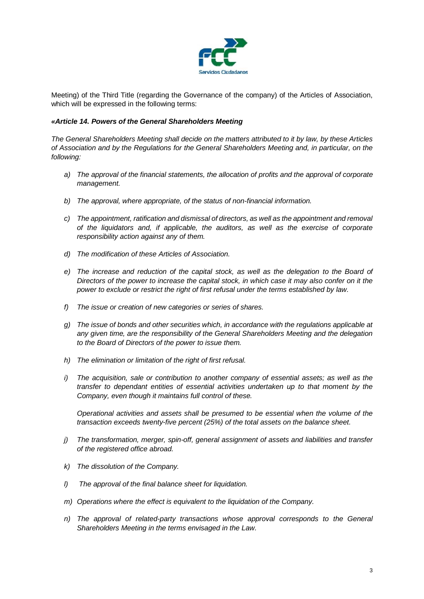

Meeting) of the Third Title (regarding the Governance of the company) of the Articles of Association, which will be expressed in the following terms:

### *«Article 14. Powers of the General Shareholders Meeting*

*The General Shareholders Meeting shall decide on the matters attributed to it by law, by these Articles of Association and by the Regulations for the General Shareholders Meeting and, in particular, on the following:*

- *a) The approval of the financial statements, the allocation of profits and the approval of corporate management.*
- *b) The approval, where appropriate, of the status of non-financial information.*
- *c) The appointment, ratification and dismissal of directors, as well as the appointment and removal of the liquidators and, if applicable, the auditors, as well as the exercise of corporate responsibility action against any of them.*
- *d) The modification of these Articles of Association.*
- *e) The increase and reduction of the capital stock, as well as the delegation to the Board of Directors of the power to increase the capital stock, in which case it may also confer on it the power to exclude or restrict the right of first refusal under the terms established by law.*
- *f) The issue or creation of new categories or series of shares.*
- *g) The issue of bonds and other securities which, in accordance with the regulations applicable at any given time, are the responsibility of the General Shareholders Meeting and the delegation to the Board of Directors of the power to issue them.*
- *h) The elimination or limitation of the right of first refusal.*
- *i) The acquisition, sale or contribution to another company of essential assets; as well as the transfer to dependant entities of essential activities undertaken up to that moment by the Company, even though it maintains full control of these.*

*Operational activities and assets shall be presumed to be essential when the volume of the transaction exceeds twenty-five percent (25%) of the total assets on the balance sheet.*

- *j) The transformation, merger, spin-off, general assignment of assets and liabilities and transfer of the registered office abroad.*
- *k) The dissolution of the Company.*
- *l) The approval of the final balance sheet for liquidation.*
- *m) Operations where the effect is equivalent to the liquidation of the Company.*
- *n) The approval of related-party transactions whose approval corresponds to the General Shareholders Meeting in the terms envisaged in the Law.*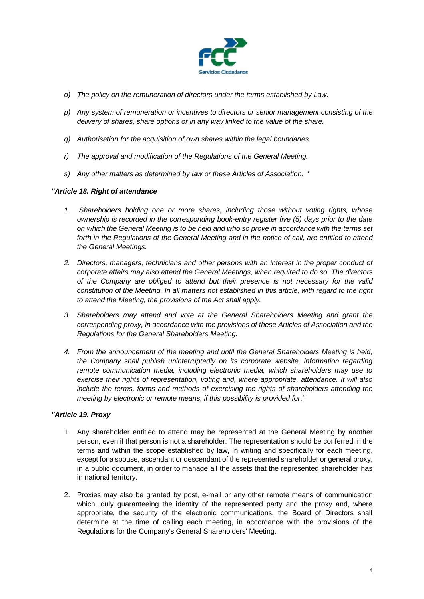

- *o) The policy on the remuneration of directors under the terms established by Law.*
- *p) Any system of remuneration or incentives to directors or senior management consisting of the delivery of shares, share options or in any way linked to the value of the share.*
- *q) Authorisation for the acquisition of own shares within the legal boundaries.*
- *r) The approval and modification of the Regulations of the General Meeting.*
- *s) Any other matters as determined by law or these Articles of Association. "*

## *"Article 18. Right of attendance*

- *1. Shareholders holding one or more shares, including those without voting rights, whose ownership is recorded in the corresponding book-entry register five (5) days prior to the date on which the General Meeting is to be held and who so prove in accordance with the terms set*  forth in the Regulations of the General Meeting and in the notice of call, are entitled to attend *the General Meetings.*
- *2. Directors, managers, technicians and other persons with an interest in the proper conduct of corporate affairs may also attend the General Meetings, when required to do so. The directors of the Company are obliged to attend but their presence is not necessary for the valid constitution of the Meeting. In all matters not established in this article, with regard to the right to attend the Meeting, the provisions of the Act shall apply.*
- *3. Shareholders may attend and vote at the General Shareholders Meeting and grant the corresponding proxy, in accordance with the provisions of these Articles of Association and the Regulations for the General Shareholders Meeting.*
- *4. From the announcement of the meeting and until the General Shareholders Meeting is held, the Company shall publish uninterruptedly on its corporate website, information regarding remote communication media, including electronic media, which shareholders may use to exercise their rights of representation, voting and, where appropriate, attendance. It will also include the terms, forms and methods of exercising the rights of shareholders attending the meeting by electronic or remote means, if this possibility is provided for."*

#### *"Article 19. Proxy*

- 1. Any shareholder entitled to attend may be represented at the General Meeting by another person, even if that person is not a shareholder. The representation should be conferred in the terms and within the scope established by law, in writing and specifically for each meeting, except for a spouse, ascendant or descendant of the represented shareholder or general proxy, in a public document, in order to manage all the assets that the represented shareholder has in national territory.
- 2. Proxies may also be granted by post, e-mail or any other remote means of communication which, duly guaranteeing the identity of the represented party and the proxy and, where appropriate, the security of the electronic communications, the Board of Directors shall determine at the time of calling each meeting, in accordance with the provisions of the Regulations for the Company's General Shareholders' Meeting.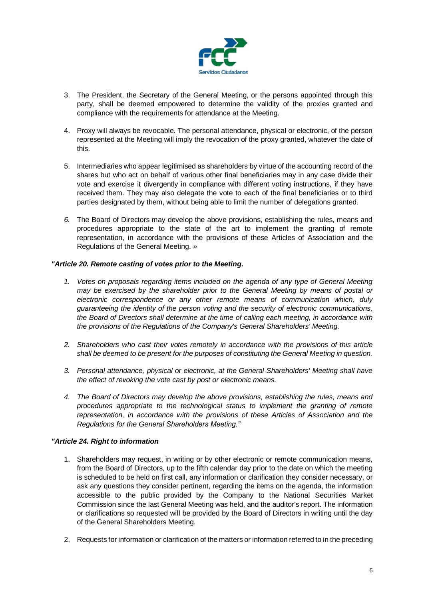

- 3. The President, the Secretary of the General Meeting, or the persons appointed through this party, shall be deemed empowered to determine the validity of the proxies granted and compliance with the requirements for attendance at the Meeting.
- 4. Proxy will always be revocable. The personal attendance, physical or electronic, of the person represented at the Meeting will imply the revocation of the proxy granted, whatever the date of this.
- 5. Intermediaries who appear legitimised as shareholders by virtue of the accounting record of the shares but who act on behalf of various other final beneficiaries may in any case divide their vote and exercise it divergently in compliance with different voting instructions, if they have received them. They may also delegate the vote to each of the final beneficiaries or to third parties designated by them, without being able to limit the number of delegations granted.
- *6.* The Board of Directors may develop the above provisions, establishing the rules, means and procedures appropriate to the state of the art to implement the granting of remote representation, in accordance with the provisions of these Articles of Association and the Regulations of the General Meeting. *»*

## *"Article 20. Remote casting of votes prior to the Meeting.*

- *1. Votes on proposals regarding items included on the agenda of any type of General Meeting may be exercised by the shareholder prior to the General Meeting by means of postal or electronic correspondence or any other remote means of communication which, duly guaranteeing the identity of the person voting and the security of electronic communications, the Board of Directors shall determine at the time of calling each meeting, in accordance with the provisions of the Regulations of the Company's General Shareholders' Meeting.*
- *2. Shareholders who cast their votes remotely in accordance with the provisions of this article shall be deemed to be present for the purposes of constituting the General Meeting in question.*
- *3. Personal attendance, physical or electronic, at the General Shareholders' Meeting shall have the effect of revoking the vote cast by post or electronic means.*
- *4. The Board of Directors may develop the above provisions, establishing the rules, means and procedures appropriate to the technological status to implement the granting of remote representation, in accordance with the provisions of these Articles of Association and the Regulations for the General Shareholders Meeting."*

# *"Article 24. Right to information*

- 1. Shareholders may request, in writing or by other electronic or remote communication means, from the Board of Directors, up to the fifth calendar day prior to the date on which the meeting is scheduled to be held on first call, any information or clarification they consider necessary, or ask any questions they consider pertinent, regarding the items on the agenda, the information accessible to the public provided by the Company to the National Securities Market Commission since the last General Meeting was held, and the auditor's report. The information or clarifications so requested will be provided by the Board of Directors in writing until the day of the General Shareholders Meeting.
- 2. Requests for information or clarification of the matters or information referred to in the preceding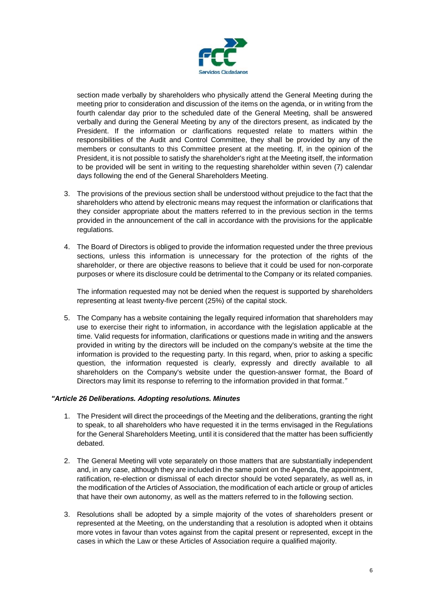

section made verbally by shareholders who physically attend the General Meeting during the meeting prior to consideration and discussion of the items on the agenda, or in writing from the fourth calendar day prior to the scheduled date of the General Meeting, shall be answered verbally and during the General Meeting by any of the directors present, as indicated by the President. If the information or clarifications requested relate to matters within the responsibilities of the Audit and Control Committee, they shall be provided by any of the members or consultants to this Committee present at the meeting. If, in the opinion of the President, it is not possible to satisfy the shareholder's right at the Meeting itself, the information to be provided will be sent in writing to the requesting shareholder within seven (7) calendar days following the end of the General Shareholders Meeting.

- 3. The provisions of the previous section shall be understood without prejudice to the fact that the shareholders who attend by electronic means may request the information or clarifications that they consider appropriate about the matters referred to in the previous section in the terms provided in the announcement of the call in accordance with the provisions for the applicable regulations.
- 4. The Board of Directors is obliged to provide the information requested under the three previous sections, unless this information is unnecessary for the protection of the rights of the shareholder, or there are objective reasons to believe that it could be used for non-corporate purposes or where its disclosure could be detrimental to the Company or its related companies.

The information requested may not be denied when the request is supported by shareholders representing at least twenty-five percent (25%) of the capital stock.

5. The Company has a website containing the legally required information that shareholders may use to exercise their right to information, in accordance with the legislation applicable at the time. Valid requests for information, clarifications or questions made in writing and the answers provided in writing by the directors will be included on the company's website at the time the information is provided to the requesting party. In this regard, when, prior to asking a specific question, the information requested is clearly, expressly and directly available to all shareholders on the Company's website under the question-answer format, the Board of Directors may limit its response to referring to the information provided in that format.*"*

#### *"Article 26 Deliberations. Adopting resolutions. Minutes*

- 1. The President will direct the proceedings of the Meeting and the deliberations, granting the right to speak, to all shareholders who have requested it in the terms envisaged in the Regulations for the General Shareholders Meeting, until it is considered that the matter has been sufficiently debated.
- 2. The General Meeting will vote separately on those matters that are substantially independent and, in any case, although they are included in the same point on the Agenda, the appointment, ratification, re-election or dismissal of each director should be voted separately, as well as, in the modification of the Articles of Association, the modification of each article or group of articles that have their own autonomy, as well as the matters referred to in the following section.
- 3. Resolutions shall be adopted by a simple majority of the votes of shareholders present or represented at the Meeting, on the understanding that a resolution is adopted when it obtains more votes in favour than votes against from the capital present or represented, except in the cases in which the Law or these Articles of Association require a qualified majority.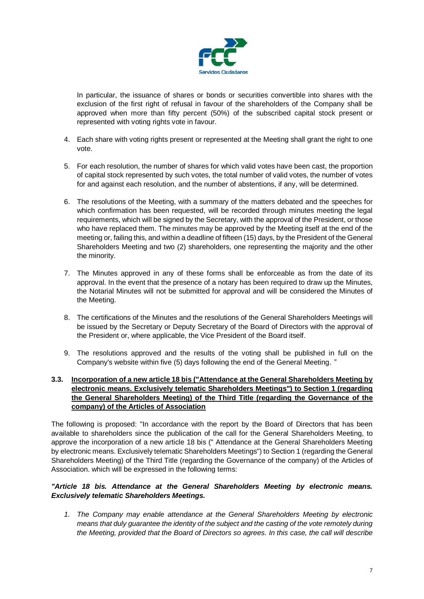

In particular, the issuance of shares or bonds or securities convertible into shares with the exclusion of the first right of refusal in favour of the shareholders of the Company shall be approved when more than fifty percent (50%) of the subscribed capital stock present or represented with voting rights vote in favour.

- 4. Each share with voting rights present or represented at the Meeting shall grant the right to one vote.
- 5. For each resolution, the number of shares for which valid votes have been cast, the proportion of capital stock represented by such votes, the total number of valid votes, the number of votes for and against each resolution, and the number of abstentions, if any, will be determined.
- 6. The resolutions of the Meeting, with a summary of the matters debated and the speeches for which confirmation has been requested, will be recorded through minutes meeting the legal requirements, which will be signed by the Secretary, with the approval of the President, or those who have replaced them. The minutes may be approved by the Meeting itself at the end of the meeting or, failing this, and within a deadline of fifteen (15) days, by the President of the General Shareholders Meeting and two (2) shareholders, one representing the majority and the other the minority.
- 7. The Minutes approved in any of these forms shall be enforceable as from the date of its approval. In the event that the presence of a notary has been required to draw up the Minutes, the Notarial Minutes will not be submitted for approval and will be considered the Minutes of the Meeting.
- 8. The certifications of the Minutes and the resolutions of the General Shareholders Meetings will be issued by the Secretary or Deputy Secretary of the Board of Directors with the approval of the President or, where applicable, the Vice President of the Board itself.
- 9. The resolutions approved and the results of the voting shall be published in full on the Company's website within five (5) days following the end of the General Meeting. *"*

### **3.3. Incorporation of a new article 18 bis ("Attendance at the General Shareholders Meeting by electronic means. Exclusively telematic Shareholders Meetings") to Section 1 (regarding the General Shareholders Meeting) of the Third Title (regarding the Governance of the company) of the Articles of Association**

The following is proposed: "In accordance with the report by the Board of Directors that has been available to shareholders since the publication of the call for the General Shareholders Meeting, to approve the incorporation of a new article 18 bis (" Attendance at the General Shareholders Meeting by electronic means. Exclusively telematic Shareholders Meetings") to Section 1 (regarding the General Shareholders Meeting) of the Third Title (regarding the Governance of the company) of the Articles of Association. which will be expressed in the following terms:

## *"Article 18 bis. Attendance at the General Shareholders Meeting by electronic means. Exclusively telematic Shareholders Meetings.*

*1. The Company may enable attendance at the General Shareholders Meeting by electronic means that duly guarantee the identity of the subject and the casting of the vote remotely during the Meeting, provided that the Board of Directors so agrees. In this case, the call will describe*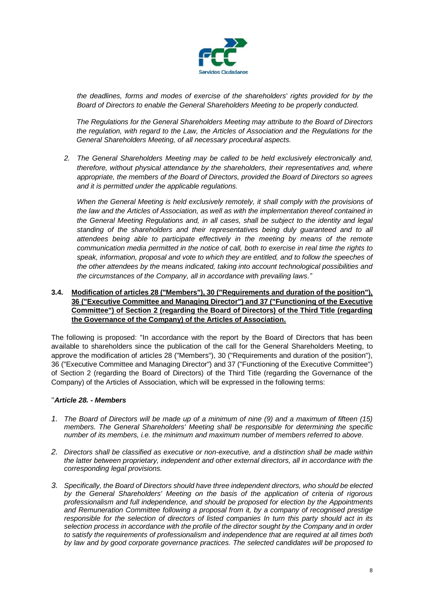

*the deadlines, forms and modes of exercise of the shareholders' rights provided for by the Board of Directors to enable the General Shareholders Meeting to be properly conducted.* 

*The Regulations for the General Shareholders Meeting may attribute to the Board of Directors the regulation, with regard to the Law, the Articles of Association and the Regulations for the General Shareholders Meeting, of all necessary procedural aspects.*

*2. The General Shareholders Meeting may be called to be held exclusively electronically and, therefore, without physical attendance by the shareholders, their representatives and, where appropriate, the members of the Board of Directors, provided the Board of Directors so agrees and it is permitted under the applicable regulations.*

*When the General Meeting is held exclusively remotely, it shall comply with the provisions of the law and the Articles of Association, as well as with the implementation thereof contained in the General Meeting Regulations and, in all cases, shall be subject to the identity and legal standing of the shareholders and their representatives being duly guaranteed and to all attendees being able to participate effectively in the meeting by means of the remote communication media permitted in the notice of call, both to exercise in real time the rights to speak, information, proposal and vote to which they are entitled, and to follow the speeches of the other attendees by the means indicated, taking into account technological possibilities and the circumstances of the Company, all in accordance with prevailing laws."*

## **3.4. Modification of articles 28 ("Members"), 30 ("Requirements and duration of the position"), 36 ("Executive Committee and Managing Director") and 37 ("Functioning of the Executive Committee") of Section 2 (regarding the Board of Directors) of the Third Title (regarding the Governance of the Company) of the Articles of Association.**

The following is proposed: "In accordance with the report by the Board of Directors that has been available to shareholders since the publication of the call for the General Shareholders Meeting, to approve the modification of articles 28 ("Members"), 30 ("Requirements and duration of the position"), 36 ("Executive Committee and Managing Director") and 37 ("Functioning of the Executive Committee") of Section 2 (regarding the Board of Directors) of the Third Title (regarding the Governance of the Company) of the Articles of Association, which will be expressed in the following terms:

#### "*Article 28. - Members*

- *1. The Board of Directors will be made up of a minimum of nine (9) and a maximum of fifteen (15) members. The General Shareholders' Meeting shall be responsible for determining the specific number of its members, i.e. the minimum and maximum number of members referred to above.*
- *2. Directors shall be classified as executive or non-executive, and a distinction shall be made within the latter between proprietary, independent and other external directors, all in accordance with the corresponding legal provisions.*
- *3. Specifically, the Board of Directors should have three independent directors, who should be elected by the General Shareholders' Meeting on the basis of the application of criteria of rigorous professionalism and full independence, and should be proposed for election by the Appointments and Remuneration Committee following a proposal from it, by a company of recognised prestige responsible for the selection of directors of listed companies In turn this party should act in its selection process in accordance with the profile of the director sought by the Company and in order to satisfy the requirements of professionalism and independence that are required at all times both by law and by good corporate governance practices. The selected candidates will be proposed to*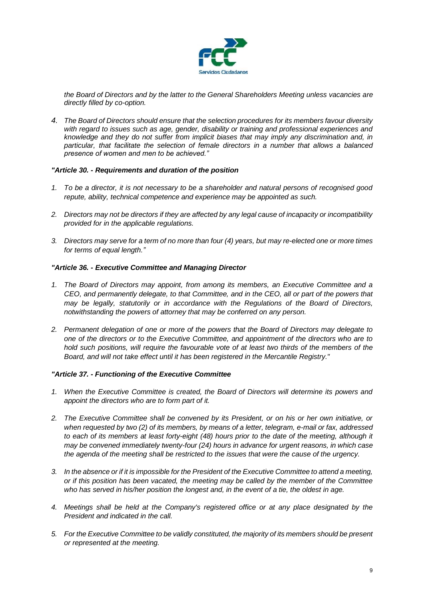

*the Board of Directors and by the latter to the General Shareholders Meeting unless vacancies are directly filled by co-option.*

*4. The Board of Directors should ensure that the selection procedures for its members favour diversity with regard to issues such as age, gender, disability or training and professional experiences and knowledge and they do not suffer from implicit biases that may imply any discrimination and, in particular, that facilitate the selection of female directors in a number that allows a balanced presence of women and men to be achieved."*

#### *"Article 30. - Requirements and duration of the position*

- *1. To be a director, it is not necessary to be a shareholder and natural persons of recognised good repute, ability, technical competence and experience may be appointed as such.*
- *2. Directors may not be directors if they are affected by any legal cause of incapacity or incompatibility provided for in the applicable regulations.*
- *3. Directors may serve for a term of no more than four (4) years, but may re-elected one or more times for terms of equal length."*

#### *"Article 36. - Executive Committee and Managing Director*

- *1. The Board of Directors may appoint, from among its members, an Executive Committee and a CEO, and permanently delegate, to that Committee, and in the CEO, all or part of the powers that may be legally, statutorily or in accordance with the Regulations of the Board of Directors, notwithstanding the powers of attorney that may be conferred on any person.*
- *2. Permanent delegation of one or more of the powers that the Board of Directors may delegate to one of the directors or to the Executive Committee, and appointment of the directors who are to hold such positions, will require the favourable vote of at least two thirds of the members of the Board, and will not take effect until it has been registered in the Mercantile Registry."*

#### *"Article 37. - Functioning of the Executive Committee*

- *1. When the Executive Committee is created, the Board of Directors will determine its powers and appoint the directors who are to form part of it.*
- *2. The Executive Committee shall be convened by its President, or on his or her own initiative, or when requested by two (2) of its members, by means of a letter, telegram, e-mail or fax, addressed to each of its members at least forty-eight (48) hours prior to the date of the meeting, although it may be convened immediately twenty-four (24) hours in advance for urgent reasons, in which case the agenda of the meeting shall be restricted to the issues that were the cause of the urgency.*
- *3. In the absence or if it is impossible for the President of the Executive Committee to attend a meeting, or if this position has been vacated, the meeting may be called by the member of the Committee who has served in his/her position the longest and, in the event of a tie, the oldest in age.*
- *4. Meetings shall be held at the Company's registered office or at any place designated by the President and indicated in the call.*
- *5. For the Executive Committee to be validly constituted, the majority of its members should be present or represented at the meeting.*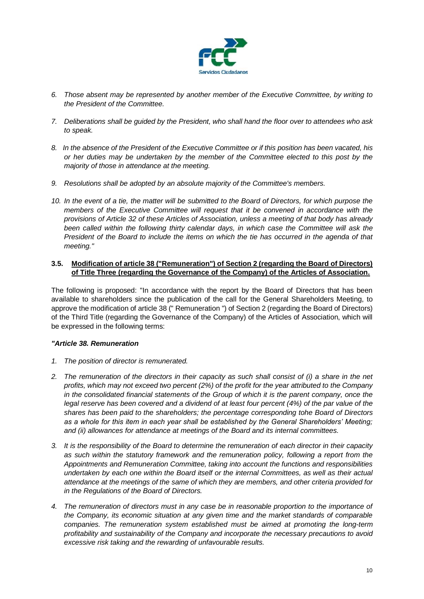

- *6. Those absent may be represented by another member of the Executive Committee, by writing to the President of the Committee.*
- *7. Deliberations shall be guided by the President, who shall hand the floor over to attendees who ask to speak.*
- *8. In the absence of the President of the Executive Committee or if this position has been vacated, his or her duties may be undertaken by the member of the Committee elected to this post by the majority of those in attendance at the meeting.*
- *9. Resolutions shall be adopted by an absolute majority of the Committee's members.*
- *10. In the event of a tie, the matter will be submitted to the Board of Directors, for which purpose the members of the Executive Committee will request that it be convened in accordance with the provisions of Article 32 of these Articles of Association, unless a meeting of that body has already*  been called within the following thirty calendar days, in which case the Committee will ask the *President of the Board to include the items on which the tie has occurred in the agenda of that meeting."*

## **3.5. Modification of article 38 ("Remuneration") of Section 2 (regarding the Board of Directors) of Title Three (regarding the Governance of the Company) of the Articles of Association.**

The following is proposed: "In accordance with the report by the Board of Directors that has been available to shareholders since the publication of the call for the General Shareholders Meeting, to approve the modification of article 38 (" Remuneration ") of Section 2 (regarding the Board of Directors) of the Third Title (regarding the Governance of the Company) of the Articles of Association, which will be expressed in the following terms:

#### *"Article 38. Remuneration*

- *1. The position of director is remunerated.*
- *2. The remuneration of the directors in their capacity as such shall consist of (i) a share in the net profits, which may not exceed two percent (2%) of the profit for the year attributed to the Company in the consolidated financial statements of the Group of which it is the parent company, once the*  legal reserve has been covered and a dividend of at least four percent (4%) of the par value of the *shares has been paid to the shareholders; the percentage corresponding tohe Board of Directors as a whole for this item in each year shall be established by the General Shareholders' Meeting; and (ii) allowances for attendance at meetings of the Board and its internal committees.*
- *3. It is the responsibility of the Board to determine the remuneration of each director in their capacity as such within the statutory framework and the remuneration policy, following a report from the Appointments and Remuneration Committee, taking into account the functions and responsibilities undertaken by each one within the Board itself or the internal Committees, as well as their actual attendance at the meetings of the same of which they are members, and other criteria provided for in the Regulations of the Board of Directors.*
- *4. The remuneration of directors must in any case be in reasonable proportion to the importance of the Company, its economic situation at any given time and the market standards of comparable companies. The remuneration system established must be aimed at promoting the long-term profitability and sustainability of the Company and incorporate the necessary precautions to avoid excessive risk taking and the rewarding of unfavourable results.*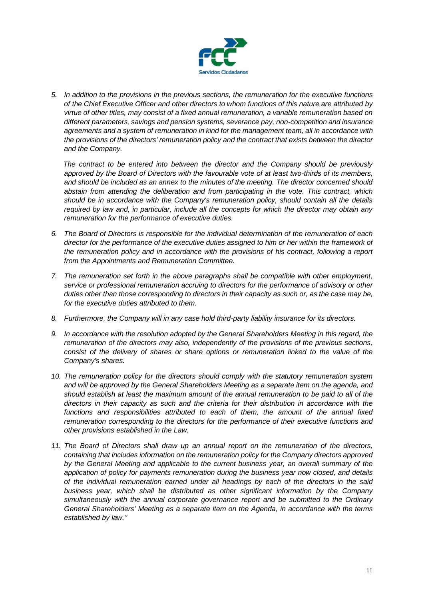

*5. In addition to the provisions in the previous sections, the remuneration for the executive functions of the Chief Executive Officer and other directors to whom functions of this nature are attributed by virtue of other titles, may consist of a fixed annual remuneration, a variable remuneration based on different parameters, savings and pension systems, severance pay, non-competition and insurance agreements and a system of remuneration in kind for the management team, all in accordance with the provisions of the directors' remuneration policy and the contract that exists between the director and the Company.*

 *The contract to be entered into between the director and the Company should be previously approved by the Board of Directors with the favourable vote of at least two-thirds of its members, and should be included as an annex to the minutes of the meeting. The director concerned should abstain from attending the deliberation and from participating in the vote. This contract, which should be in accordance with the Company's remuneration policy, should contain all the details required by law and, in particular, include all the concepts for which the director may obtain any remuneration for the performance of executive duties.*

- *6. The Board of Directors is responsible for the individual determination of the remuneration of each director for the performance of the executive duties assigned to him or her within the framework of the remuneration policy and in accordance with the provisions of his contract, following a report from the Appointments and Remuneration Committee.*
- *7. The remuneration set forth in the above paragraphs shall be compatible with other employment, service or professional remuneration accruing to directors for the performance of advisory or other duties other than those corresponding to directors in their capacity as such or, as the case may be, for the executive duties attributed to them.*
- *8. Furthermore, the Company will in any case hold third-party liability insurance for its directors.*
- *9. In accordance with the resolution adopted by the General Shareholders Meeting in this regard, the remuneration of the directors may also, independently of the provisions of the previous sections, consist of the delivery of shares or share options or remuneration linked to the value of the Company's shares.*
- *10. The remuneration policy for the directors should comply with the statutory remuneration system and will be approved by the General Shareholders Meeting as a separate item on the agenda, and should establish at least the maximum amount of the annual remuneration to be paid to all of the directors in their capacity as such and the criteria for their distribution in accordance with the functions and responsibilities attributed to each of them, the amount of the annual fixed remuneration corresponding to the directors for the performance of their executive functions and other provisions established in the Law.*
- *11. The Board of Directors shall draw up an annual report on the remuneration of the directors, containing that includes information on the remuneration policy for the Company directors approved by the General Meeting and applicable to the current business year, an overall summary of the application of policy for payments remuneration during the business year now closed, and details of the individual remuneration earned under all headings by each of the directors in the said business year, which shall be distributed as other significant information by the Company simultaneously with the annual corporate governance report and be submitted to the Ordinary General Shareholders' Meeting as a separate item on the Agenda, in accordance with the terms established by law."*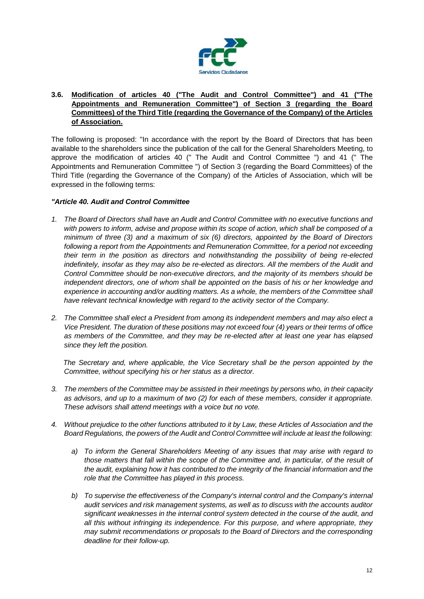

### **3.6. Modification of articles 40 ("The Audit and Control Committee") and 41 ("The Appointments and Remuneration Committee") of Section 3 (regarding the Board Committees) of the Third Title (regarding the Governance of the Company) of the Articles of Association.**

The following is proposed: "In accordance with the report by the Board of Directors that has been available to the shareholders since the publication of the call for the General Shareholders Meeting, to approve the modification of articles 40 (" The Audit and Control Committee ") and 41 (" The Appointments and Remuneration Committee ") of Section 3 (regarding the Board Committees) of the Third Title (regarding the Governance of the Company) of the Articles of Association, which will be expressed in the following terms:

## *"Article 40. Audit and Control Committee*

- *1. The Board of Directors shall have an Audit and Control Committee with no executive functions and with powers to inform, advise and propose within its scope of action, which shall be composed of a minimum of three (3) and a maximum of six (6) directors, appointed by the Board of Directors following a report from the Appointments and Remuneration Committee, for a period not exceeding their term in the position as directors and notwithstanding the possibility of being re-elected indefinitely, insofar as they may also be re-elected as directors. All the members of the Audit and Control Committee should be non-executive directors, and the majority of its members should be independent directors, one of whom shall be appointed on the basis of his or her knowledge and experience in accounting and/or auditing matters. As a whole, the members of the Committee shall have relevant technical knowledge with regard to the activity sector of the Company.*
- *2. The Committee shall elect a President from among its independent members and may also elect a Vice President. The duration of these positions may not exceed four (4) years or their terms of office as members of the Committee, and they may be re-elected after at least one year has elapsed since they left the position.*

 *The Secretary and, where applicable, the Vice Secretary shall be the person appointed by the Committee, without specifying his or her status as a director.*

- *3. The members of the Committee may be assisted in their meetings by persons who, in their capacity as advisors, and up to a maximum of two (2) for each of these members, consider it appropriate. These advisors shall attend meetings with a voice but no vote.*
- *4. Without prejudice to the other functions attributed to it by Law, these Articles of Association and the Board Regulations, the powers of the Audit and Control Committee will include at least the following:*
	- *a) To inform the General Shareholders Meeting of any issues that may arise with regard to*  those matters that fall within the scope of the Committee and, in particular, of the result of *the audit, explaining how it has contributed to the integrity of the financial information and the role that the Committee has played in this process.*
	- *b) To supervise the effectiveness of the Company's internal control and the Company's internal audit services and risk management systems, as well as to discuss with the accounts auditor significant weaknesses in the internal control system detected in the course of the audit, and all this without infringing its independence. For this purpose, and where appropriate, they may submit recommendations or proposals to the Board of Directors and the corresponding deadline for their follow-up.*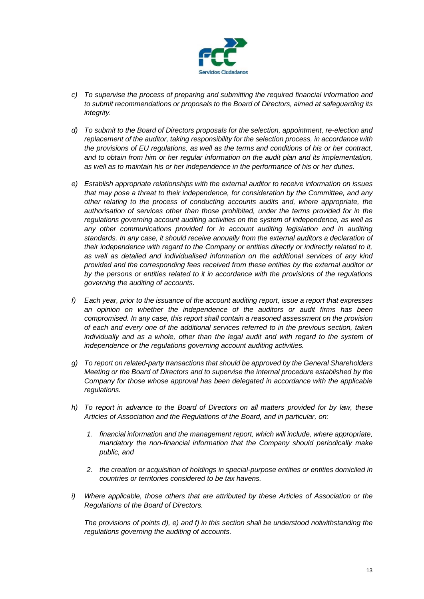

- *c) To supervise the process of preparing and submitting the required financial information and to submit recommendations or proposals to the Board of Directors, aimed at safeguarding its integrity.*
- *d) To submit to the Board of Directors proposals for the selection, appointment, re-election and replacement of the auditor, taking responsibility for the selection process, in accordance with the provisions of EU regulations, as well as the terms and conditions of his or her contract, and to obtain from him or her regular information on the audit plan and its implementation, as well as to maintain his or her independence in the performance of his or her duties.*
- *e) Establish appropriate relationships with the external auditor to receive information on issues that may pose a threat to their independence, for consideration by the Committee, and any other relating to the process of conducting accounts audits and, where appropriate, the authorisation of services other than those prohibited, under the terms provided for in the regulations governing account auditing activities on the system of independence, as well as*  any other communications provided for in account auditing legislation and in auditing *standards. In any case, it should receive annually from the external auditors a declaration of their independence with regard to the Company or entities directly or indirectly related to it, as well as detailed and individualised information on the additional services of any kind provided and the corresponding fees received from these entities by the external auditor or by the persons or entities related to it in accordance with the provisions of the regulations governing the auditing of accounts.*
- *f) Each year, prior to the issuance of the account auditing report, issue a report that expresses an opinion on whether the independence of the auditors or audit firms has been compromised. In any case, this report shall contain a reasoned assessment on the provision of each and every one of the additional services referred to in the previous section, taken individually and as a whole, other than the legal audit and with regard to the system of independence or the regulations governing account auditing activities.*
- *g) To report on related-party transactions that should be approved by the General Shareholders Meeting or the Board of Directors and to supervise the internal procedure established by the Company for those whose approval has been delegated in accordance with the applicable regulations.*
- *h) To report in advance to the Board of Directors on all matters provided for by law, these Articles of Association and the Regulations of the Board, and in particular, on:*
	- *1. financial information and the management report, which will include, where appropriate, mandatory the non-financial information that the Company should periodically make public, and*
	- *2. the creation or acquisition of holdings in special-purpose entities or entities domiciled in countries or territories considered to be tax havens.*
- *i) Where applicable, those others that are attributed by these Articles of Association or the Regulations of the Board of Directors.*

*The provisions of points d), e) and f) in this section shall be understood notwithstanding the regulations governing the auditing of accounts.*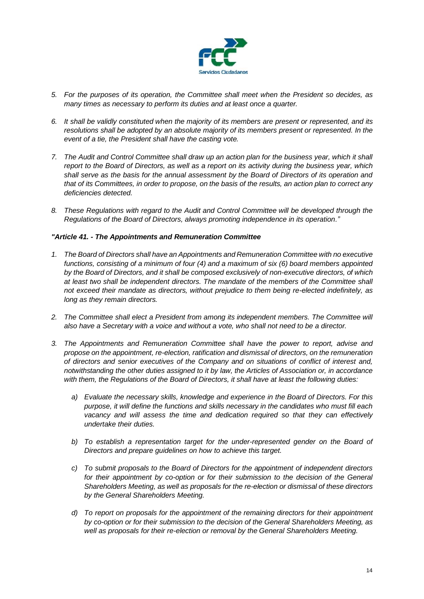

- *5. For the purposes of its operation, the Committee shall meet when the President so decides, as many times as necessary to perform its duties and at least once a quarter.*
- *6. It shall be validly constituted when the majority of its members are present or represented, and its resolutions shall be adopted by an absolute majority of its members present or represented. In the event of a tie, the President shall have the casting vote.*
- *7. The Audit and Control Committee shall draw up an action plan for the business year, which it shall report to the Board of Directors, as well as a report on its activity during the business year, which shall serve as the basis for the annual assessment by the Board of Directors of its operation and that of its Committees, in order to propose, on the basis of the results, an action plan to correct any deficiencies detected.*
- *8. These Regulations with regard to the Audit and Control Committee will be developed through the Regulations of the Board of Directors, always promoting independence in its operation."*

#### *"Article 41. - The Appointments and Remuneration Committee*

- *1. The Board of Directors shall have an Appointments and Remuneration Committee with no executive functions, consisting of a minimum of four (4) and a maximum of six (6) board members appointed by the Board of Directors, and it shall be composed exclusively of non-executive directors, of which at least two shall be independent directors. The mandate of the members of the Committee shall not exceed their mandate as directors, without prejudice to them being re-elected indefinitely, as long as they remain directors.*
- *2. The Committee shall elect a President from among its independent members. The Committee will also have a Secretary with a voice and without a vote, who shall not need to be a director.*
- *3. The Appointments and Remuneration Committee shall have the power to report, advise and propose on the appointment, re-election, ratification and dismissal of directors, on the remuneration of directors and senior executives of the Company and on situations of conflict of interest and, notwithstanding the other duties assigned to it by law, the Articles of Association or, in accordance with them, the Regulations of the Board of Directors, it shall have at least the following duties:*
	- *a) Evaluate the necessary skills, knowledge and experience in the Board of Directors. For this purpose, it will define the functions and skills necessary in the candidates who must fill each*  vacancy and will assess the time and dedication required so that they can effectively *undertake their duties.*
	- *b) To establish a representation target for the under-represented gender on the Board of Directors and prepare guidelines on how to achieve this target.*
	- *c) To submit proposals to the Board of Directors for the appointment of independent directors*  for their appointment by co-option or for their submission to the decision of the General *Shareholders Meeting, as well as proposals for the re-election or dismissal of these directors by the General Shareholders Meeting.*
	- *d) To report on proposals for the appointment of the remaining directors for their appointment by co-option or for their submission to the decision of the General Shareholders Meeting, as well as proposals for their re-election or removal by the General Shareholders Meeting.*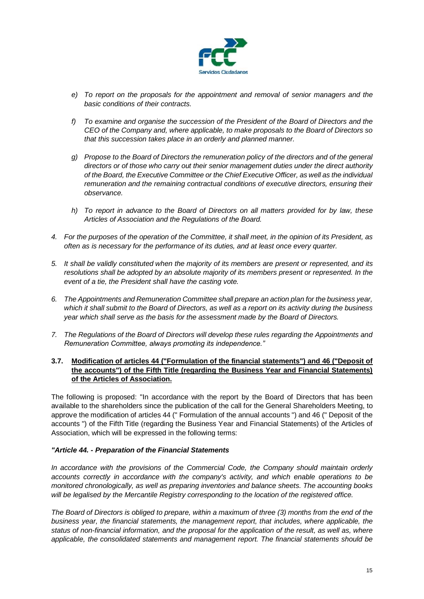

- *e) To report on the proposals for the appointment and removal of senior managers and the basic conditions of their contracts.*
- *f) To examine and organise the succession of the President of the Board of Directors and the CEO of the Company and, where applicable, to make proposals to the Board of Directors so that this succession takes place in an orderly and planned manner.*
- *g) Propose to the Board of Directors the remuneration policy of the directors and of the general directors or of those who carry out their senior management duties under the direct authority of the Board, the Executive Committee or the Chief Executive Officer, as well as the individual remuneration and the remaining contractual conditions of executive directors, ensuring their observance.*
- *h) To report in advance to the Board of Directors on all matters provided for by law, these Articles of Association and the Regulations of the Board.*
- *4. For the purposes of the operation of the Committee, it shall meet, in the opinion of its President, as often as is necessary for the performance of its duties, and at least once every quarter.*
- *5. It shall be validly constituted when the majority of its members are present or represented, and its resolutions shall be adopted by an absolute majority of its members present or represented. In the event of a tie, the President shall have the casting vote.*
- *6. The Appointments and Remuneration Committee shall prepare an action plan for the business year, which it shall submit to the Board of Directors, as well as a report on its activity during the business year which shall serve as the basis for the assessment made by the Board of Directors.*
- *7. The Regulations of the Board of Directors will develop these rules regarding the Appointments and Remuneration Committee, always promoting its independence."*

### **3.7. Modification of articles 44 ("Formulation of the financial statements") and 46 ("Deposit of the accounts") of the Fifth Title (regarding the Business Year and Financial Statements) of the Articles of Association.**

The following is proposed: "In accordance with the report by the Board of Directors that has been available to the shareholders since the publication of the call for the General Shareholders Meeting, to approve the modification of articles 44 (" Formulation of the annual accounts ") and 46 (" Deposit of the accounts ") of the Fifth Title (regarding the Business Year and Financial Statements) of the Articles of Association, which will be expressed in the following terms:

#### *"Article 44. - Preparation of the Financial Statements*

*In accordance with the provisions of the Commercial Code, the Company should maintain orderly accounts correctly in accordance with the company's activity, and which enable operations to be monitored chronologically, as well as preparing inventories and balance sheets. The accounting books will be legalised by the Mercantile Registry corresponding to the location of the registered office.*

*The Board of Directors is obliged to prepare, within a maximum of three (3) months from the end of the business year, the financial statements, the management report, that includes, where applicable, the status of non-financial information, and the proposal for the application of the result, as well as, where applicable, the consolidated statements and management report. The financial statements should be*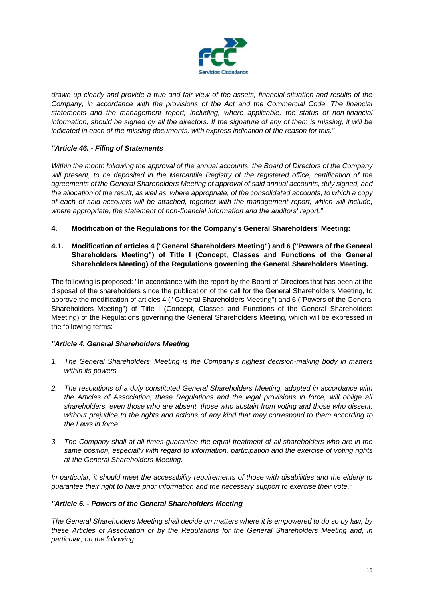

*drawn up clearly and provide a true and fair view of the assets, financial situation and results of the Company, in accordance with the provisions of the Act and the Commercial Code. The financial statements and the management report, including, where applicable, the status of non-financial information, should be signed by all the directors. If the signature of any of them is missing, it will be indicated in each of the missing documents, with express indication of the reason for this."*

## *"Article 46. - Filing of Statements*

*Within the month following the approval of the annual accounts, the Board of Directors of the Company will present, to be deposited in the Mercantile Registry of the registered office, certification of the agreements of the General Shareholders Meeting of approval of said annual accounts, duly signed, and the allocation of the result, as well as, where appropriate, of the consolidated accounts, to which a copy of each of said accounts will be attached, together with the management report, which will include, where appropriate, the statement of non-financial information and the auditors' report."*

#### **4. Modification of the Regulations for the Company's General Shareholders' Meeting:**

## **4.1. Modification of articles 4 ("General Shareholders Meeting") and 6 ("Powers of the General Shareholders Meeting") of Title I (Concept, Classes and Functions of the General Shareholders Meeting) of the Regulations governing the General Shareholders Meeting.**

The following is proposed: "In accordance with the report by the Board of Directors that has been at the disposal of the shareholders since the publication of the call for the General Shareholders Meeting, to approve the modification of articles 4 (" General Shareholders Meeting") and 6 ("Powers of the General Shareholders Meeting") of Title I (Concept, Classes and Functions of the General Shareholders Meeting) of the Regulations governing the General Shareholders Meeting, which will be expressed in the following terms:

# *"Article 4. General Shareholders Meeting*

- *1. The General Shareholders' Meeting is the Company's highest decision-making body in matters within its powers.*
- *2. The resolutions of a duly constituted General Shareholders Meeting, adopted in accordance with the Articles of Association, these Regulations and the legal provisions in force, will oblige all shareholders, even those who are absent, those who abstain from voting and those who dissent, without prejudice to the rights and actions of any kind that may correspond to them according to the Laws in force.*
- *3. The Company shall at all times guarantee the equal treatment of all shareholders who are in the same position, especially with regard to information, participation and the exercise of voting rights at the General Shareholders Meeting.*

*In particular, it should meet the accessibility requirements of those with disabilities and the elderly to guarantee their right to have prior information and the necessary support to exercise their vote."*

#### *"Article 6. - Powers of the General Shareholders Meeting*

*The General Shareholders Meeting shall decide on matters where it is empowered to do so by law, by these Articles of Association or by the Regulations for the General Shareholders Meeting and, in particular, on the following:*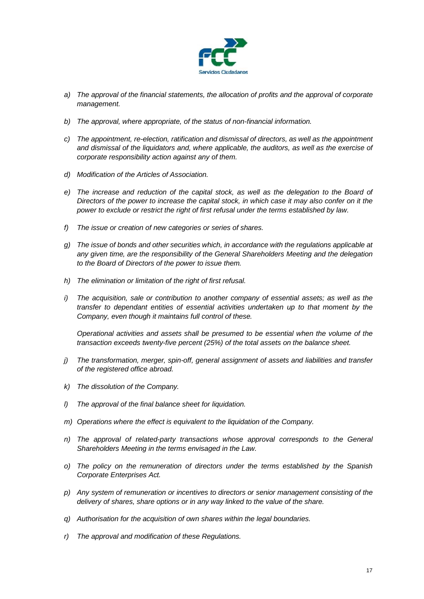

- *a) The approval of the financial statements, the allocation of profits and the approval of corporate management.*
- *b) The approval, where appropriate, of the status of non-financial information.*
- *c) The appointment, re-election, ratification and dismissal of directors, as well as the appointment and dismissal of the liquidators and, where applicable, the auditors, as well as the exercise of corporate responsibility action against any of them.*
- *d) Modification of the Articles of Association.*
- *e) The increase and reduction of the capital stock, as well as the delegation to the Board of Directors of the power to increase the capital stock, in which case it may also confer on it the power to exclude or restrict the right of first refusal under the terms established by law.*
- *f) The issue or creation of new categories or series of shares.*
- *g) The issue of bonds and other securities which, in accordance with the regulations applicable at any given time, are the responsibility of the General Shareholders Meeting and the delegation to the Board of Directors of the power to issue them.*
- *h) The elimination or limitation of the right of first refusal.*
- *i) The acquisition, sale or contribution to another company of essential assets; as well as the transfer to dependant entities of essential activities undertaken up to that moment by the Company, even though it maintains full control of these.*

*Operational activities and assets shall be presumed to be essential when the volume of the transaction exceeds twenty-five percent (25%) of the total assets on the balance sheet.*

- *j) The transformation, merger, spin-off, general assignment of assets and liabilities and transfer of the registered office abroad.*
- *k) The dissolution of the Company.*
- *l) The approval of the final balance sheet for liquidation.*
- *m) Operations where the effect is equivalent to the liquidation of the Company.*
- *n) The approval of related-party transactions whose approval corresponds to the General Shareholders Meeting in the terms envisaged in the Law.*
- *o) The policy on the remuneration of directors under the terms established by the Spanish Corporate Enterprises Act.*
- *p) Any system of remuneration or incentives to directors or senior management consisting of the delivery of shares, share options or in any way linked to the value of the share.*
- *q) Authorisation for the acquisition of own shares within the legal boundaries.*
- *r) The approval and modification of these Regulations.*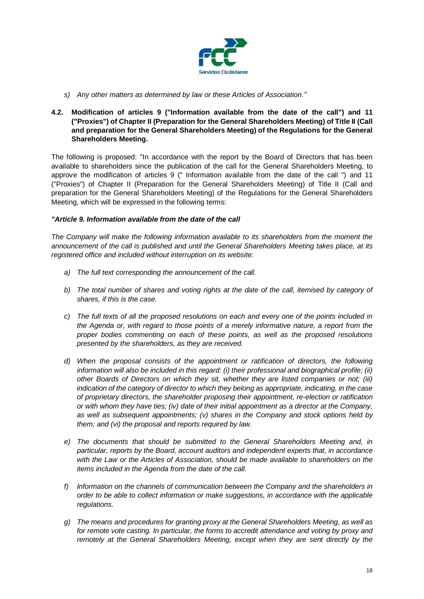

*s) Any other matters as determined by law or these Articles of Association."*

## **4.2. Modification of articles 9 ("Information available from the date of the call") and 11 ("Proxies") of Chapter II (Preparation for the General Shareholders Meeting) of Title II (Call and preparation for the General Shareholders Meeting) of the Regulations for the General Shareholders Meeting.**

The following is proposed: "In accordance with the report by the Board of Directors that has been available to shareholders since the publication of the call for the General Shareholders Meeting, to approve the modification of articles 9 (" Information available from the date of the call ") and 11 ("Proxies") of Chapter II (Preparation for the General Shareholders Meeting) of Title II (Call and preparation for the General Shareholders Meeting) of the Regulations for the General Shareholders Meeting, which will be expressed in the following terms:

#### *"Article 9. Information available from the date of the call*

*The Company will make the following information available to its shareholders from the moment the announcement of the call is published and until the General Shareholders Meeting takes place, at its registered office and included without interruption on its website:*

- *a) The full text corresponding the announcement of the call.*
- *b) The total number of shares and voting rights at the date of the call, itemised by category of shares, if this is the case.*
- *c) The full texts of all the proposed resolutions on each and every one of the points included in the Agenda or, with regard to those points of a merely informative nature, a report from the proper bodies commenting on each of these points, as well as the proposed resolutions presented by the shareholders, as they are received.*
- *d) When the proposal consists of the appointment or ratification of directors, the following information will also be included in this regard: (i) their professional and biographical profile; (ii) other Boards of Directors on which they sit, whether they are listed companies or not; (iii) indication of the category of director to which they belong as appropriate, indicating, in the case of proprietary directors, the shareholder proposing their appointment, re-election or ratification or with whom they have ties; (iv) date of their initial appointment as a director at the Company, as well as subsequent appointments; (v) shares in the Company and stock options held by them; and (vi) the proposal and reports required by law.*
- *e) The documents that should be submitted to the General Shareholders Meeting and, in particular, reports by the Board, account auditors and independent experts that, in accordance with the Law or the Articles of Association, should be made available to shareholders on the items included in the Agenda from the date of the call.*
- *f) Information on the channels of communication between the Company and the shareholders in order to be able to collect information or make suggestions, in accordance with the applicable regulations.*
- *g) The means and procedures for granting proxy at the General Shareholders Meeting, as well as for remote vote casting. In particular, the forms to accredit attendance and voting by proxy and remotely at the General Shareholders Meeting, except when they are sent directly by the*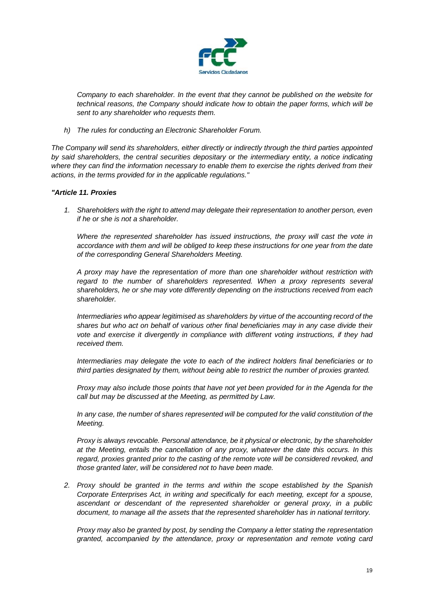

*Company to each shareholder. In the event that they cannot be published on the website for technical reasons, the Company should indicate how to obtain the paper forms, which will be sent to any shareholder who requests them.*

*h) The rules for conducting an Electronic Shareholder Forum.*

*The Company will send its shareholders, either directly or indirectly through the third parties appointed by said shareholders, the central securities depositary or the intermediary entity, a notice indicating where they can find the information necessary to enable them to exercise the rights derived from their actions, in the terms provided for in the applicable regulations."*

#### *"Article 11. Proxies*

*1. Shareholders with the right to attend may delegate their representation to another person, even if he or she is not a shareholder.*

*Where the represented shareholder has issued instructions, the proxy will cast the vote in accordance with them and will be obliged to keep these instructions for one year from the date of the corresponding General Shareholders Meeting.*

*A proxy may have the representation of more than one shareholder without restriction with regard to the number of shareholders represented. When a proxy represents several shareholders, he or she may vote differently depending on the instructions received from each shareholder.*

*Intermediaries who appear legitimised as shareholders by virtue of the accounting record of the shares but who act on behalf of various other final beneficiaries may in any case divide their vote and exercise it divergently in compliance with different voting instructions, if they had received them.*

*Intermediaries may delegate the vote to each of the indirect holders final beneficiaries or to third parties designated by them, without being able to restrict the number of proxies granted.*

*Proxy may also include those points that have not yet been provided for in the Agenda for the call but may be discussed at the Meeting, as permitted by Law.*

*In any case, the number of shares represented will be computed for the valid constitution of the Meeting.*

*Proxy is always revocable. Personal attendance, be it physical or electronic, by the shareholder at the Meeting, entails the cancellation of any proxy, whatever the date this occurs. In this regard, proxies granted prior to the casting of the remote vote will be considered revoked, and those granted later, will be considered not to have been made.*

*2. Proxy should be granted in the terms and within the scope established by the Spanish Corporate Enterprises Act, in writing and specifically for each meeting, except for a spouse, ascendant or descendant of the represented shareholder or general proxy, in a public document, to manage all the assets that the represented shareholder has in national territory.*

*Proxy may also be granted by post, by sending the Company a letter stating the representation granted, accompanied by the attendance, proxy or representation and remote voting card*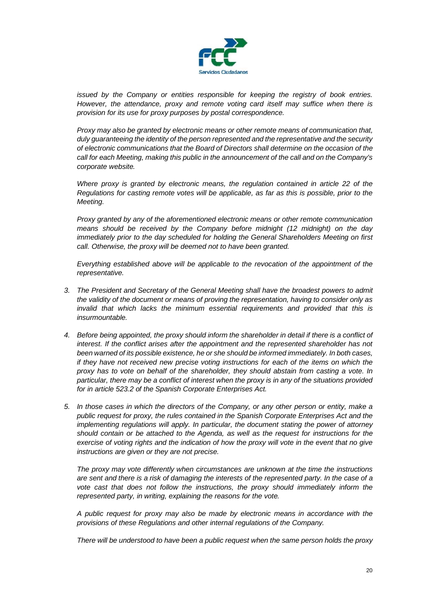

*issued by the Company or entities responsible for keeping the registry of book entries. However, the attendance, proxy and remote voting card itself may suffice when there is provision for its use for proxy purposes by postal correspondence.*

*Proxy may also be granted by electronic means or other remote means of communication that, duly guaranteeing the identity of the person represented and the representative and the security of electronic communications that the Board of Directors shall determine on the occasion of the call for each Meeting, making this public in the announcement of the call and on the Company's corporate website.*

*Where proxy is granted by electronic means, the regulation contained in article 22 of the Regulations for casting remote votes will be applicable, as far as this is possible, prior to the Meeting.*

*Proxy granted by any of the aforementioned electronic means or other remote communication means should be received by the Company before midnight (12 midnight) on the day immediately prior to the day scheduled for holding the General Shareholders Meeting on first call. Otherwise, the proxy will be deemed not to have been granted.*

*Everything established above will be applicable to the revocation of the appointment of the representative.*

- *3. The President and Secretary of the General Meeting shall have the broadest powers to admit the validity of the document or means of proving the representation, having to consider only as invalid that which lacks the minimum essential requirements and provided that this is insurmountable.*
- *4. Before being appointed, the proxy should inform the shareholder in detail if there is a conflict of interest. If the conflict arises after the appointment and the represented shareholder has not been warned of its possible existence, he or she should be informed immediately. In both cases, if they have not received new precise voting instructions for each of the items on which the proxy has to vote on behalf of the shareholder, they should abstain from casting a vote. In particular, there may be a conflict of interest when the proxy is in any of the situations provided for in article 523.2 of the Spanish Corporate Enterprises Act.*
- *5. In those cases in which the directors of the Company, or any other person or entity, make a public request for proxy, the rules contained in the Spanish Corporate Enterprises Act and the implementing regulations will apply. In particular, the document stating the power of attorney should contain or be attached to the Agenda, as well as the request for instructions for the exercise of voting rights and the indication of how the proxy will vote in the event that no give instructions are given or they are not precise.*

*The proxy may vote differently when circumstances are unknown at the time the instructions are sent and there is a risk of damaging the interests of the represented party. In the case of a vote cast that does not follow the instructions, the proxy should immediately inform the represented party, in writing, explaining the reasons for the vote.*

*A public request for proxy may also be made by electronic means in accordance with the provisions of these Regulations and other internal regulations of the Company.*

*There will be understood to have been a public request when the same person holds the proxy*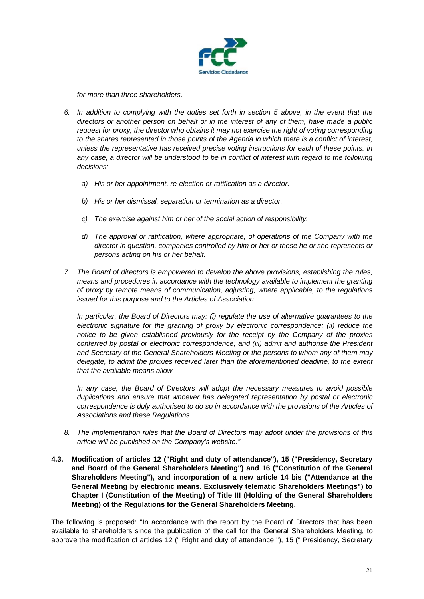

*for more than three shareholders.*

- *6. In addition to complying with the duties set forth in section 5 above, in the event that the directors or another person on behalf or in the interest of any of them, have made a public request for proxy, the director who obtains it may not exercise the right of voting corresponding to the shares represented in those points of the Agenda in which there is a conflict of interest, unless the representative has received precise voting instructions for each of these points. In any case, a director will be understood to be in conflict of interest with regard to the following decisions:*
	- *a) His or her appointment, re-election or ratification as a director.*
	- *b) His or her dismissal, separation or termination as a director.*
	- *c) The exercise against him or her of the social action of responsibility.*
	- *d) The approval or ratification, where appropriate, of operations of the Company with the director in question, companies controlled by him or her or those he or she represents or persons acting on his or her behalf.*
- *7. The Board of directors is empowered to develop the above provisions, establishing the rules, means and procedures in accordance with the technology available to implement the granting of proxy by remote means of communication, adjusting, where applicable, to the regulations issued for this purpose and to the Articles of Association.*

*In particular, the Board of Directors may: (i) regulate the use of alternative guarantees to the electronic signature for the granting of proxy by electronic correspondence; (ii) reduce the notice to be given established previously for the receipt by the Company of the proxies conferred by postal or electronic correspondence; and (iii) admit and authorise the President and Secretary of the General Shareholders Meeting or the persons to whom any of them may delegate, to admit the proxies received later than the aforementioned deadline, to the extent that the available means allow.*

*In any case, the Board of Directors will adopt the necessary measures to avoid possible duplications and ensure that whoever has delegated representation by postal or electronic correspondence is duly authorised to do so in accordance with the provisions of the Articles of Associations and these Regulations.*

- *8. The implementation rules that the Board of Directors may adopt under the provisions of this article will be published on the Company's website."*
- **4.3. Modification of articles 12 ("Right and duty of attendance"), 15 ("Presidency, Secretary and Board of the General Shareholders Meeting") and 16 ("Constitution of the General Shareholders Meeting"), and incorporation of a new article 14 bis ("Attendance at the General Meeting by electronic means. Exclusively telematic Shareholders Meetings") to Chapter I (Constitution of the Meeting) of Title III (Holding of the General Shareholders Meeting) of the Regulations for the General Shareholders Meeting.**

The following is proposed: "In accordance with the report by the Board of Directors that has been available to shareholders since the publication of the call for the General Shareholders Meeting, to approve the modification of articles 12 (" Right and duty of attendance "), 15 (" Presidency, Secretary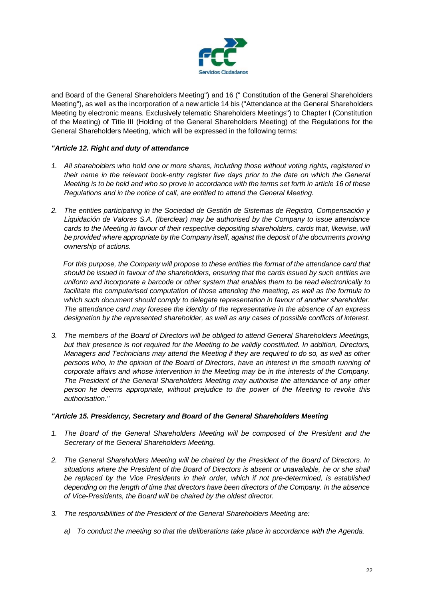

and Board of the General Shareholders Meeting") and 16 (" Constitution of the General Shareholders Meeting"), as well as the incorporation of a new article 14 bis ("Attendance at the General Shareholders Meeting by electronic means. Exclusively telematic Shareholders Meetings") to Chapter I (Constitution of the Meeting) of Title III (Holding of the General Shareholders Meeting) of the Regulations for the General Shareholders Meeting, which will be expressed in the following terms:

## *"Article 12. Right and duty of attendance*

- *1. All shareholders who hold one or more shares, including those without voting rights, registered in their name in the relevant book-entry register five days prior to the date on which the General Meeting is to be held and who so prove in accordance with the terms set forth in article 16 of these Regulations and in the notice of call, are entitled to attend the General Meeting.*
- *2. The entities participating in the Sociedad de Gestión de Sistemas de Registro, Compensación y Liquidación de Valores S.A. (Iberclear) may be authorised by the Company to issue attendance cards to the Meeting in favour of their respective depositing shareholders, cards that, likewise, will be provided where appropriate by the Company itself, against the deposit of the documents proving ownership of actions.*

 *For this purpose, the Company will propose to these entities the format of the attendance card that should be issued in favour of the shareholders, ensuring that the cards issued by such entities are uniform and incorporate a barcode or other system that enables them to be read electronically to facilitate the computerised computation of those attending the meeting, as well as the formula to which such document should comply to delegate representation in favour of another shareholder. The attendance card may foresee the identity of the representative in the absence of an express designation by the represented shareholder, as well as any cases of possible conflicts of interest.*

*3. The members of the Board of Directors will be obliged to attend General Shareholders Meetings, but their presence is not required for the Meeting to be validly constituted. In addition, Directors, Managers and Technicians may attend the Meeting if they are required to do so, as well as other persons who, in the opinion of the Board of Directors, have an interest in the smooth running of corporate affairs and whose intervention in the Meeting may be in the interests of the Company. The President of the General Shareholders Meeting may authorise the attendance of any other person he deems appropriate, without prejudice to the power of the Meeting to revoke this authorisation."*

#### *"Article 15. Presidency, Secretary and Board of the General Shareholders Meeting*

- *1. The Board of the General Shareholders Meeting will be composed of the President and the Secretary of the General Shareholders Meeting.*
- *2. The General Shareholders Meeting will be chaired by the President of the Board of Directors. In situations where the President of the Board of Directors is absent or unavailable, he or she shall be replaced by the Vice Presidents in their order, which if not pre-determined, is established depending on the length of time that directors have been directors of the Company. In the absence of Vice-Presidents, the Board will be chaired by the oldest director.*
- *3. The responsibilities of the President of the General Shareholders Meeting are:*
	- *a) To conduct the meeting so that the deliberations take place in accordance with the Agenda.*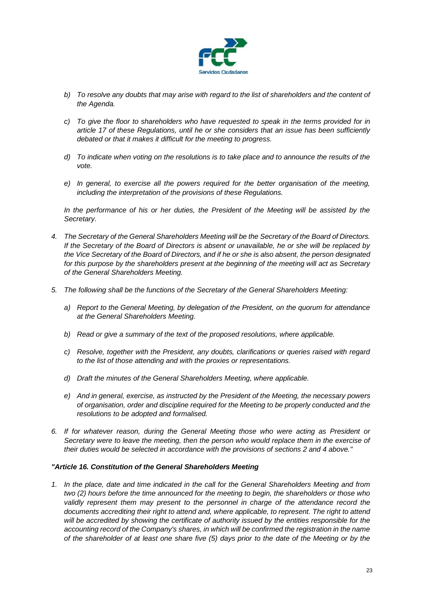

- *b) To resolve any doubts that may arise with regard to the list of shareholders and the content of the Agenda.*
- *c) To give the floor to shareholders who have requested to speak in the terms provided for in article 17 of these Regulations, until he or she considers that an issue has been sufficiently debated or that it makes it difficult for the meeting to progress.*
- *d) To indicate when voting on the resolutions is to take place and to announce the results of the vote.*
- *e) In general, to exercise all the powers required for the better organisation of the meeting, including the interpretation of the provisions of these Regulations.*

In the performance of his or her duties, the President of the Meeting will be assisted by the *Secretary.*

- *4. The Secretary of the General Shareholders Meeting will be the Secretary of the Board of Directors. If the Secretary of the Board of Directors is absent or unavailable, he or she will be replaced by the Vice Secretary of the Board of Directors, and if he or she is also absent, the person designated for this purpose by the shareholders present at the beginning of the meeting will act as Secretary of the General Shareholders Meeting.*
- *5. The following shall be the functions of the Secretary of the General Shareholders Meeting:*
	- *a) Report to the General Meeting, by delegation of the President, on the quorum for attendance at the General Shareholders Meeting.*
	- *b) Read or give a summary of the text of the proposed resolutions, where applicable.*
	- *c) Resolve, together with the President, any doubts, clarifications or queries raised with regard to the list of those attending and with the proxies or representations.*
	- *d) Draft the minutes of the General Shareholders Meeting, where applicable.*
	- *e) And in general, exercise, as instructed by the President of the Meeting, the necessary powers of organisation, order and discipline required for the Meeting to be properly conducted and the resolutions to be adopted and formalised.*
- *6. If for whatever reason, during the General Meeting those who were acting as President or Secretary were to leave the meeting, then the person who would replace them in the exercise of their duties would be selected in accordance with the provisions of sections 2 and 4 above."*

#### *"Article 16. Constitution of the General Shareholders Meeting*

*1. In the place, date and time indicated in the call for the General Shareholders Meeting and from two (2) hours before the time announced for the meeting to begin, the shareholders or those who validly represent them may present to the personnel in charge of the attendance record the documents accrediting their right to attend and, where applicable, to represent. The right to attend will be accredited by showing the certificate of authority issued by the entities responsible for the accounting record of the Company's shares, in which will be confirmed the registration in the name of the shareholder of at least one share five (5) days prior to the date of the Meeting or by the*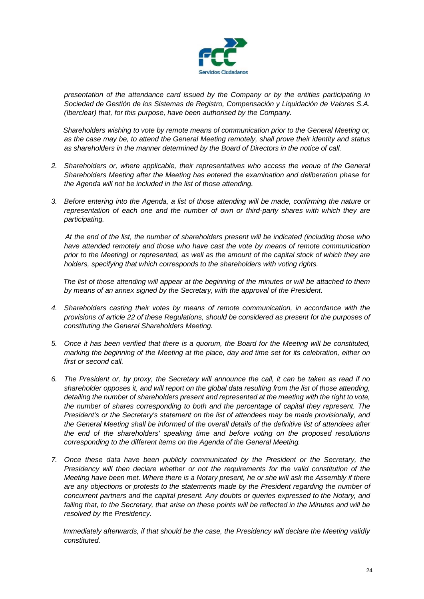

*presentation of the attendance card issued by the Company or by the entities participating in Sociedad de Gestión de los Sistemas de Registro, Compensación y Liquidación de Valores S.A. (Iberclear) that, for this purpose, have been authorised by the Company.*

 *Shareholders wishing to vote by remote means of communication prior to the General Meeting or, as the case may be, to attend the General Meeting remotely, shall prove their identity and status as shareholders in the manner determined by the Board of Directors in the notice of call.*

- *2. Shareholders or, where applicable, their representatives who access the venue of the General Shareholders Meeting after the Meeting has entered the examination and deliberation phase for the Agenda will not be included in the list of those attending.*
- *3. Before entering into the Agenda, a list of those attending will be made, confirming the nature or representation of each one and the number of own or third-party shares with which they are participating.*

 *At the end of the list, the number of shareholders present will be indicated (including those who have attended remotely and those who have cast the vote by means of remote communication prior to the Meeting) or represented, as well as the amount of the capital stock of which they are holders, specifying that which corresponds to the shareholders with voting rights.*

 *The list of those attending will appear at the beginning of the minutes or will be attached to them by means of an annex signed by the Secretary, with the approval of the President.*

- *4. Shareholders casting their votes by means of remote communication, in accordance with the provisions of article 22 of these Regulations, should be considered as present for the purposes of constituting the General Shareholders Meeting.*
- *5. Once it has been verified that there is a quorum, the Board for the Meeting will be constituted, marking the beginning of the Meeting at the place, day and time set for its celebration, either on first or second call.*
- *6. The President or, by proxy, the Secretary will announce the call, it can be taken as read if no shareholder opposes it, and will report on the global data resulting from the list of those attending, detailing the number of shareholders present and represented at the meeting with the right to vote, the number of shares corresponding to both and the percentage of capital they represent. The President's or the Secretary's statement on the list of attendees may be made provisionally, and the General Meeting shall be informed of the overall details of the definitive list of attendees after the end of the shareholders' speaking time and before voting on the proposed resolutions corresponding to the different items on the Agenda of the General Meeting.*
- *7. Once these data have been publicly communicated by the President or the Secretary, the Presidency will then declare whether or not the requirements for the valid constitution of the Meeting have been met. Where there is a Notary present, he or she will ask the Assembly if there are any objections or protests to the statements made by the President regarding the number of concurrent partners and the capital present. Any doubts or queries expressed to the Notary, and failing that, to the Secretary, that arise on these points will be reflected in the Minutes and will be resolved by the Presidency.*

 *Immediately afterwards, if that should be the case, the Presidency will declare the Meeting validly constituted.*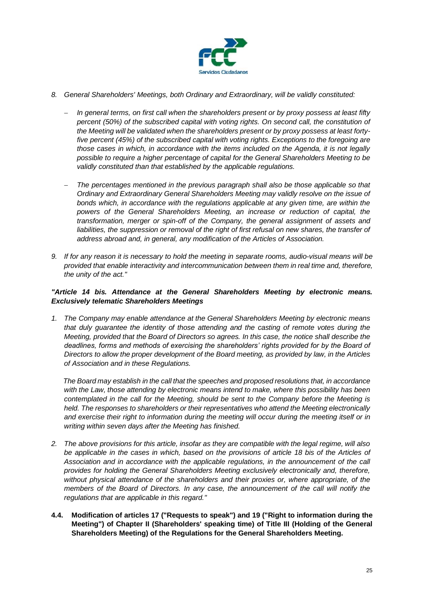

- *8. General Shareholders' Meetings, both Ordinary and Extraordinary, will be validly constituted:*
	- *In general terms, on first call when the shareholders present or by proxy possess at least fifty percent (50%) of the subscribed capital with voting rights. On second call, the constitution of the Meeting will be validated when the shareholders present or by proxy possess at least fortyfive percent (45%) of the subscribed capital with voting rights. Exceptions to the foregoing are those cases in which, in accordance with the items included on the Agenda, it is not legally possible to require a higher percentage of capital for the General Shareholders Meeting to be validly constituted than that established by the applicable regulations.*
	- *The percentages mentioned in the previous paragraph shall also be those applicable so that Ordinary and Extraordinary General Shareholders Meeting may validly resolve on the issue of bonds which, in accordance with the regulations applicable at any given time, are within the powers of the General Shareholders Meeting, an increase or reduction of capital, the transformation, merger or spin-off of the Company, the general assignment of assets and*  liabilities, the suppression or removal of the right of first refusal on new shares, the transfer of *address abroad and, in general, any modification of the Articles of Association.*
- *9. If for any reason it is necessary to hold the meeting in separate rooms, audio-visual means will be provided that enable interactivity and intercommunication between them in real time and, therefore, the unity of the act."*

### *"Article 14 bis. Attendance at the General Shareholders Meeting by electronic means. Exclusively telematic Shareholders Meetings*

*1. The Company may enable attendance at the General Shareholders Meeting by electronic means that duly guarantee the identity of those attending and the casting of remote votes during the Meeting, provided that the Board of Directors so agrees. In this case, the notice shall describe the deadlines, forms and methods of exercising the shareholders' rights provided for by the Board of Directors to allow the proper development of the Board meeting, as provided by law, in the Articles of Association and in these Regulations.* 

 *The Board may establish in the call that the speeches and proposed resolutions that, in accordance with the Law, those attending by electronic means intend to make, where this possibility has been contemplated in the call for the Meeting, should be sent to the Company before the Meeting is held. The responses to shareholders or their representatives who attend the Meeting electronically and exercise their right to information during the meeting will occur during the meeting itself or in writing within seven days after the Meeting has finished.*

- *2. The above provisions for this article, insofar as they are compatible with the legal regime, will also be applicable in the cases in which, based on the provisions of article 18 bis of the Articles of Association and in accordance with the applicable regulations, in the announcement of the call provides for holding the General Shareholders Meeting exclusively electronically and, therefore, without physical attendance of the shareholders and their proxies or, where appropriate, of the members of the Board of Directors. In any case, the announcement of the call will notify the regulations that are applicable in this regard."*
- **4.4. Modification of articles 17 ("Requests to speak") and 19 ("Right to information during the Meeting") of Chapter II (Shareholders' speaking time) of Title III (Holding of the General Shareholders Meeting) of the Regulations for the General Shareholders Meeting.**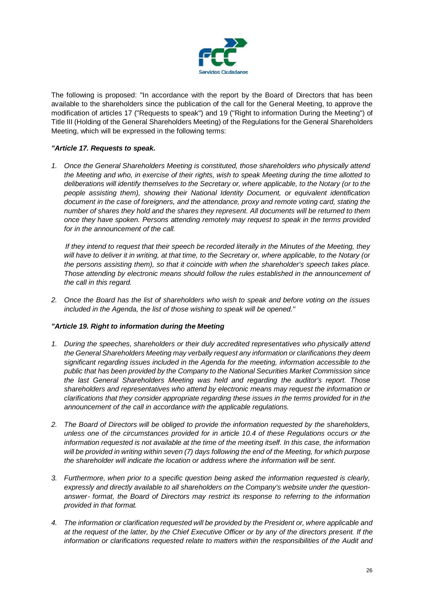

The following is proposed: "In accordance with the report by the Board of Directors that has been available to the shareholders since the publication of the call for the General Meeting, to approve the modification of articles 17 ("Requests to speak") and 19 ("Right to information During the Meeting") of Title III (Holding of the General Shareholders Meeting) of the Regulations for the General Shareholders Meeting, which will be expressed in the following terms:

### *"Article 17. Requests to speak.*

*1. Once the General Shareholders Meeting is constituted, those shareholders who physically attend the Meeting and who, in exercise of their rights, wish to speak Meeting during the time allotted to deliberations will identify themselves to the Secretary or, where applicable, to the Notary (or to the people assisting them), showing their National Identity Document, or equivalent identification document in the case of foreigners, and the attendance, proxy and remote voting card, stating the number of shares they hold and the shares they represent. All documents will be returned to them once they have spoken. Persons attending remotely may request to speak in the terms provided for in the announcement of the call.*

 *If they intend to request that their speech be recorded literally in the Minutes of the Meeting, they will have to deliver it in writing, at that time, to the Secretary or, where applicable, to the Notary (or the persons assisting them), so that it coincide with when the shareholder's speech takes place. Those attending by electronic means should follow the rules established in the announcement of the call in this regard.*

*2. Once the Board has the list of shareholders who wish to speak and before voting on the issues included in the Agenda, the list of those wishing to speak will be opened."*

#### *"Article 19. Right to information during the Meeting*

- *1. During the speeches, shareholders or their duly accredited representatives who physically attend the General Shareholders Meeting may verbally request any information or clarifications they deem significant regarding issues included in the Agenda for the meeting, information accessible to the public that has been provided by the Company to the National Securities Market Commission since the last General Shareholders Meeting was held and regarding the auditor's report. Those shareholders and representatives who attend by electronic means may request the information or clarifications that they consider appropriate regarding these issues in the terms provided for in the announcement of the call in accordance with the applicable regulations.*
- *2. The Board of Directors will be obliged to provide the information requested by the shareholders, unless one of the circumstances provided for in article 10.4 of these Regulations occurs or the information requested is not available at the time of the meeting itself. In this case, the information will be provided in writing within seven (7) days following the end of the Meeting, for which purpose the shareholder will indicate the location or address where the information will be sent.*
- *3. Furthermore, when prior to a specific question being asked the information requested is clearly, expressly and directly available to all shareholders on the Company's website under the questionanswer*‐ *format, the Board of Directors may restrict its response to referring to the information provided in that format.*
- *4. The information or clarification requested will be provided by the President or, where applicable and at the request of the latter, by the Chief Executive Officer or by any of the directors present. If the information or clarifications requested relate to matters within the responsibilities of the Audit and*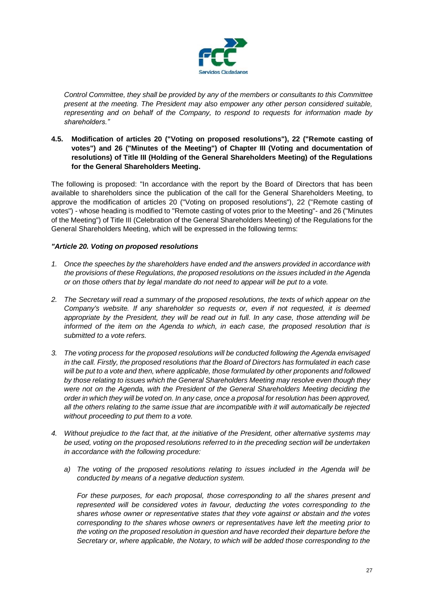

*Control Committee, they shall be provided by any of the members or consultants to this Committee present at the meeting. The President may also empower any other person considered suitable, representing and on behalf of the Company, to respond to requests for information made by shareholders."*

**4.5. Modification of articles 20 ("Voting on proposed resolutions"), 22 ("Remote casting of votes") and 26 ("Minutes of the Meeting") of Chapter III (Voting and documentation of resolutions) of Title III (Holding of the General Shareholders Meeting) of the Regulations for the General Shareholders Meeting.**

The following is proposed: "In accordance with the report by the Board of Directors that has been available to shareholders since the publication of the call for the General Shareholders Meeting, to approve the modification of articles 20 ("Voting on proposed resolutions"), 22 ("Remote casting of votes") - whose heading is modified to "Remote casting of votes prior to the Meeting"- and 26 ("Minutes of the Meeting") of Title III (Celebration of the General Shareholders Meeting) of the Regulations for the General Shareholders Meeting, which will be expressed in the following terms:

## *"Article 20. Voting on proposed resolutions*

- *1. Once the speeches by the shareholders have ended and the answers provided in accordance with the provisions of these Regulations, the proposed resolutions on the issues included in the Agenda or on those others that by legal mandate do not need to appear will be put to a vote.*
- *2. The Secretary will read a summary of the proposed resolutions, the texts of which appear on the Company's website. If any shareholder so requests or, even if not requested, it is deemed appropriate by the President, they will be read out in full. In any case, those attending will be informed of the item on the Agenda to which, in each case, the proposed resolution that is submitted to a vote refers.*
- *3. The voting process for the proposed resolutions will be conducted following the Agenda envisaged in the call. Firstly, the proposed resolutions that the Board of Directors has formulated in each case will be put to a vote and then, where applicable, those formulated by other proponents and followed by those relating to issues which the General Shareholders Meeting may resolve even though they were not on the Agenda, with the President of the General Shareholders Meeting deciding the order in which they will be voted on. In any case, once a proposal for resolution has been approved, all the others relating to the same issue that are incompatible with it will automatically be rejected without proceeding to put them to a vote.*
- *4. Without prejudice to the fact that, at the initiative of the President, other alternative systems may be used, voting on the proposed resolutions referred to in the preceding section will be undertaken in accordance with the following procedure:*
	- *a) The voting of the proposed resolutions relating to issues included in the Agenda will be conducted by means of a negative deduction system.*

*For these purposes, for each proposal, those corresponding to all the shares present and represented will be considered votes in favour, deducting the votes corresponding to the shares whose owner or representative states that they vote against or abstain and the votes corresponding to the shares whose owners or representatives have left the meeting prior to the voting on the proposed resolution in question and have recorded their departure before the Secretary or, where applicable, the Notary, to which will be added those corresponding to the*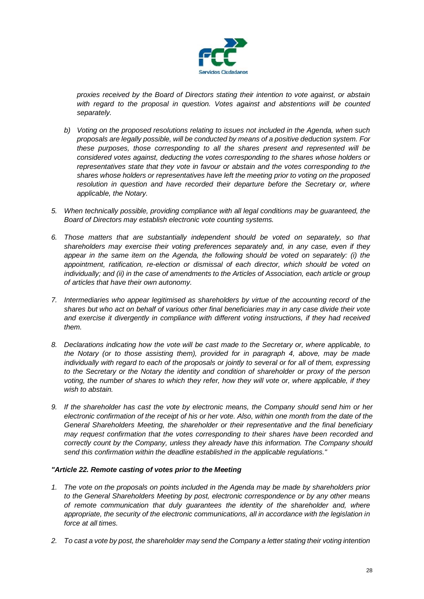

*proxies received by the Board of Directors stating their intention to vote against, or abstain*  with regard to the proposal in question. Votes against and abstentions will be counted *separately.*

- *b) Voting on the proposed resolutions relating to issues not included in the Agenda, when such proposals are legally possible, will be conducted by means of a positive deduction system. For these purposes, those corresponding to all the shares present and represented will be considered votes against, deducting the votes corresponding to the shares whose holders or representatives state that they vote in favour or abstain and the votes corresponding to the shares whose holders or representatives have left the meeting prior to voting on the proposed resolution in question and have recorded their departure before the Secretary or, where applicable, the Notary.*
- *5. When technically possible, providing compliance with all legal conditions may be guaranteed, the Board of Directors may establish electronic vote counting systems.*
- *6. Those matters that are substantially independent should be voted on separately, so that shareholders may exercise their voting preferences separately and, in any case, even if they appear in the same item on the Agenda, the following should be voted on separately: (i) the appointment, ratification, re-election or dismissal of each director, which should be voted on individually; and (ii) in the case of amendments to the Articles of Association, each article or group of articles that have their own autonomy.*
- *7. Intermediaries who appear legitimised as shareholders by virtue of the accounting record of the shares but who act on behalf of various other final beneficiaries may in any case divide their vote and exercise it divergently in compliance with different voting instructions, if they had received them.*
- *8. Declarations indicating how the vote will be cast made to the Secretary or, where applicable, to the Notary (or to those assisting them), provided for in paragraph 4, above, may be made individually with regard to each of the proposals or jointly to several or for all of them, expressing to the Secretary or the Notary the identity and condition of shareholder or proxy of the person voting, the number of shares to which they refer, how they will vote or, where applicable, if they wish to abstain.*
- *9. If the shareholder has cast the vote by electronic means, the Company should send him or her electronic confirmation of the receipt of his or her vote. Also, within one month from the date of the General Shareholders Meeting, the shareholder or their representative and the final beneficiary may request confirmation that the votes corresponding to their shares have been recorded and correctly count by the Company, unless they already have this information. The Company should send this confirmation within the deadline established in the applicable regulations."*

#### *"Article 22. Remote casting of votes prior to the Meeting*

- *1. The vote on the proposals on points included in the Agenda may be made by shareholders prior to the General Shareholders Meeting by post, electronic correspondence or by any other means of remote communication that duly guarantees the identity of the shareholder and, where appropriate, the security of the electronic communications, all in accordance with the legislation in force at all times.*
- *2. To cast a vote by post, the shareholder may send the Company a letter stating their voting intention*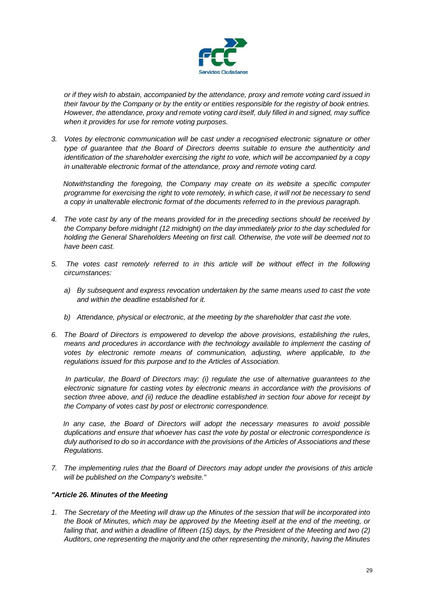

*or if they wish to abstain, accompanied by the attendance, proxy and remote voting card issued in their favour by the Company or by the entity or entities responsible for the registry of book entries. However, the attendance, proxy and remote voting card itself, duly filled in and signed, may suffice when it provides for use for remote voting purposes.*

*3. Votes by electronic communication will be cast under a recognised electronic signature or other type of guarantee that the Board of Directors deems suitable to ensure the authenticity and identification of the shareholder exercising the right to vote, which will be accompanied by a copy in unalterable electronic format of the attendance, proxy and remote voting card.*

 *Notwithstanding the foregoing, the Company may create on its website a specific computer programme for exercising the right to vote remotely, in which case, it will not be necessary to send a copy in unalterable electronic format of the documents referred to in the previous paragraph.*

- *4. The vote cast by any of the means provided for in the preceding sections should be received by the Company before midnight (12 midnight) on the day immediately prior to the day scheduled for holding the General Shareholders Meeting on first call. Otherwise, the vote will be deemed not to have been cast.*
- *5. The votes cast remotely referred to in this article will be without effect in the following circumstances:*
	- *a) By subsequent and express revocation undertaken by the same means used to cast the vote and within the deadline established for it.*
	- *b) Attendance, physical or electronic, at the meeting by the shareholder that cast the vote.*
- *6. The Board of Directors is empowered to develop the above provisions, establishing the rules, means and procedures in accordance with the technology available to implement the casting of votes by electronic remote means of communication, adjusting, where applicable, to the regulations issued for this purpose and to the Articles of Association.*

 *In particular, the Board of Directors may: (i) regulate the use of alternative guarantees to the electronic signature for casting votes by electronic means in accordance with the provisions of section three above, and (ii) reduce the deadline established in section four above for receipt by the Company of votes cast by post or electronic correspondence.*

 *In any case, the Board of Directors will adopt the necessary measures to avoid possible duplications and ensure that whoever has cast the vote by postal or electronic correspondence is duly authorised to do so in accordance with the provisions of the Articles of Associations and these Regulations.*

*7. The implementing rules that the Board of Directors may adopt under the provisions of this article will be published on the Company's website."*

#### *"Article 26. Minutes of the Meeting*

*1. The Secretary of the Meeting will draw up the Minutes of the session that will be incorporated into the Book of Minutes, which may be approved by the Meeting itself at the end of the meeting, or failing that, and within a deadline of fifteen (15) days, by the President of the Meeting and two (2) Auditors, one representing the majority and the other representing the minority, having the Minutes*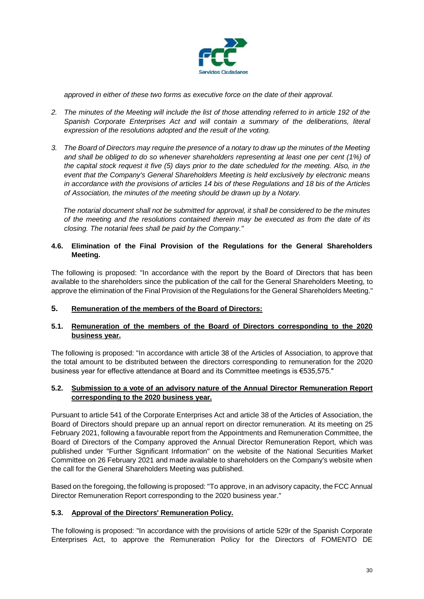

*approved in either of these two forms as executive force on the date of their approval.*

- *2. The minutes of the Meeting will include the list of those attending referred to in article 192 of the Spanish Corporate Enterprises Act and will contain a summary of the deliberations, literal expression of the resolutions adopted and the result of the voting.*
- *3. The Board of Directors may require the presence of a notary to draw up the minutes of the Meeting and shall be obliged to do so whenever shareholders representing at least one per cent (1%) of the capital stock request it five (5) days prior to the date scheduled for the meeting. Also, in the event that the Company's General Shareholders Meeting is held exclusively by electronic means in accordance with the provisions of articles 14 bis of these Regulations and 18 bis of the Articles of Association, the minutes of the meeting should be drawn up by a Notary.*

 *The notarial document shall not be submitted for approval, it shall be considered to be the minutes of the meeting and the resolutions contained therein may be executed as from the date of its closing. The notarial fees shall be paid by the Company."*

#### **4.6. Elimination of the Final Provision of the Regulations for the General Shareholders Meeting.**

The following is proposed: "In accordance with the report by the Board of Directors that has been available to the shareholders since the publication of the call for the General Shareholders Meeting, to approve the elimination of the Final Provision of the Regulations for the General Shareholders Meeting."

# **5. Remuneration of the members of the Board of Directors:**

## **5.1. Remuneration of the members of the Board of Directors corresponding to the 2020 business year.**

The following is proposed: "In accordance with article 38 of the Articles of Association, to approve that the total amount to be distributed between the directors corresponding to remuneration for the 2020 business year for effective attendance at Board and its Committee meetings is €535,575."

#### **5.2. Submission to a vote of an advisory nature of the Annual Director Remuneration Report corresponding to the 2020 business year.**

Pursuant to article 541 of the Corporate Enterprises Act and article 38 of the Articles of Association, the Board of Directors should prepare up an annual report on director remuneration. At its meeting on 25 February 2021, following a favourable report from the Appointments and Remuneration Committee, the Board of Directors of the Company approved the Annual Director Remuneration Report, which was published under "Further Significant Information" on the website of the National Securities Market Committee on 26 February 2021 and made available to shareholders on the Company's website when the call for the General Shareholders Meeting was published.

Based on the foregoing, the following is proposed: "To approve, in an advisory capacity, the FCC Annual Director Remuneration Report corresponding to the 2020 business year."

#### **5.3. Approval of the Directors' Remuneration Policy.**

The following is proposed: "In accordance with the provisions of article 529r of the Spanish Corporate Enterprises Act, to approve the Remuneration Policy for the Directors of FOMENTO DE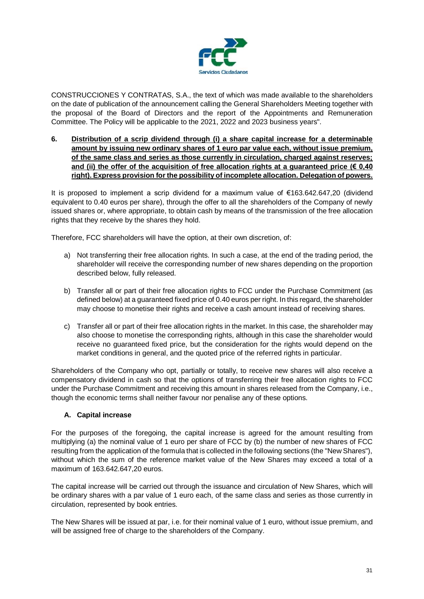

CONSTRUCCIONES Y CONTRATAS, S.A., the text of which was made available to the shareholders on the date of publication of the announcement calling the General Shareholders Meeting together with the proposal of the Board of Directors and the report of the Appointments and Remuneration Committee. The Policy will be applicable to the 2021, 2022 and 2023 business years".

**6. Distribution of a scrip dividend through (i) a share capital increase for a determinable amount by issuing new ordinary shares of 1 euro par value each, without issue premium, of the same class and series as those currently in circulation, charged against reserves; and (ii) the offer of the acquisition of free allocation rights at a guaranteed price (€ 0,40 right). Express provision for the possibility of incomplete allocation. Delegation of powers.**

It is proposed to implement a scrip dividend for a maximum value of €163.642.647,20 (dividend equivalent to 0.40 euros per share), through the offer to all the shareholders of the Company of newly issued shares or, where appropriate, to obtain cash by means of the transmission of the free allocation rights that they receive by the shares they hold.

Therefore, FCC shareholders will have the option, at their own discretion, of:

- a) Not transferring their free allocation rights. In such a case, at the end of the trading period, the shareholder will receive the corresponding number of new shares depending on the proportion described below, fully released.
- b) Transfer all or part of their free allocation rights to FCC under the Purchase Commitment (as defined below) at a guaranteed fixed price of 0.40 euros per right. In this regard, the shareholder may choose to monetise their rights and receive a cash amount instead of receiving shares.
- c) Transfer all or part of their free allocation rights in the market. In this case, the shareholder may also choose to monetise the corresponding rights, although in this case the shareholder would receive no guaranteed fixed price, but the consideration for the rights would depend on the market conditions in general, and the quoted price of the referred rights in particular.

Shareholders of the Company who opt, partially or totally, to receive new shares will also receive a compensatory dividend in cash so that the options of transferring their free allocation rights to FCC under the Purchase Commitment and receiving this amount in shares released from the Company, i.e., though the economic terms shall neither favour nor penalise any of these options.

# **A. Capital increase**

For the purposes of the foregoing, the capital increase is agreed for the amount resulting from multiplying (a) the nominal value of 1 euro per share of FCC by (b) the number of new shares of FCC resulting from the application of the formula that is collected in the following sections (the "New Shares"), without which the sum of the reference market value of the New Shares may exceed a total of a maximum of 163.642.647,20 euros.

The capital increase will be carried out through the issuance and circulation of New Shares, which will be ordinary shares with a par value of 1 euro each, of the same class and series as those currently in circulation, represented by book entries.

The New Shares will be issued at par, i.e. for their nominal value of 1 euro, without issue premium, and will be assigned free of charge to the shareholders of the Company.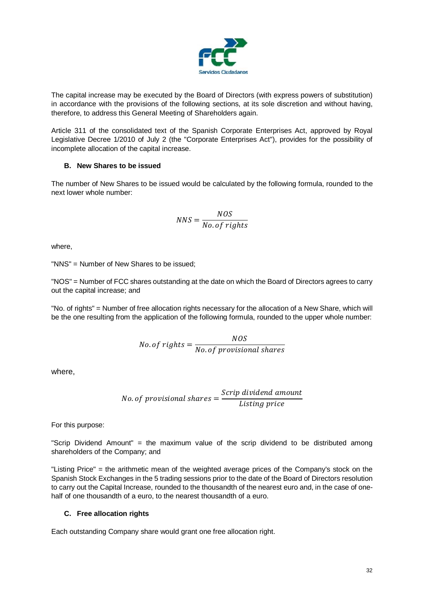

The capital increase may be executed by the Board of Directors (with express powers of substitution) in accordance with the provisions of the following sections, at its sole discretion and without having, therefore, to address this General Meeting of Shareholders again.

Article 311 of the consolidated text of the Spanish Corporate Enterprises Act, approved by Royal Legislative Decree 1/2010 of July 2 (the "Corporate Enterprises Act"), provides for the possibility of incomplete allocation of the capital increase.

## **B. New Shares to be issued**

The number of New Shares to be issued would be calculated by the following formula, rounded to the next lower whole number:

$$
NNS = \frac{NOS}{No. \, of \, rights}
$$

where,

"NNS" = Number of New Shares to be issued;

"NOS" = Number of FCC shares outstanding at the date on which the Board of Directors agrees to carry out the capital increase; and

"No. of rights" = Number of free allocation rights necessary for the allocation of a New Share, which will be the one resulting from the application of the following formula, rounded to the upper whole number:

No. of rights = 
$$
\frac{NOS}{No. of \, provisional \, shares}
$$

where,

No. of provisional shares 
$$
=
$$
  $\frac{Script\ dividend\ amount}{Listing\ price}$ 

For this purpose:

"Scrip Dividend Amount" = the maximum value of the scrip dividend to be distributed among shareholders of the Company; and

"Listing Price" = the arithmetic mean of the weighted average prices of the Company's stock on the Spanish Stock Exchanges in the 5 trading sessions prior to the date of the Board of Directors resolution to carry out the Capital Increase, rounded to the thousandth of the nearest euro and, in the case of onehalf of one thousandth of a euro, to the nearest thousandth of a euro.

# **C. Free allocation rights**

Each outstanding Company share would grant one free allocation right.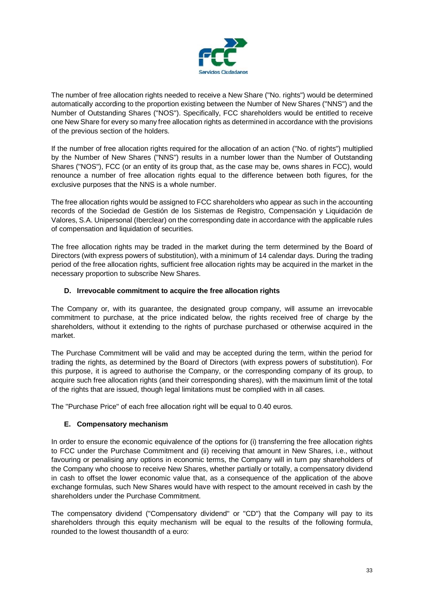

The number of free allocation rights needed to receive a New Share ("No. rights") would be determined automatically according to the proportion existing between the Number of New Shares ("NNS") and the Number of Outstanding Shares ("NOS"). Specifically, FCC shareholders would be entitled to receive one New Share for every so many free allocation rights as determined in accordance with the provisions of the previous section of the holders.

If the number of free allocation rights required for the allocation of an action ("No. of rights") multiplied by the Number of New Shares ("NNS") results in a number lower than the Number of Outstanding Shares ("NOS"), FCC (or an entity of its group that, as the case may be, owns shares in FCC), would renounce a number of free allocation rights equal to the difference between both figures, for the exclusive purposes that the NNS is a whole number.

The free allocation rights would be assigned to FCC shareholders who appear as such in the accounting records of the Sociedad de Gestión de los Sistemas de Registro, Compensación y Liquidación de Valores, S.A. Unipersonal (Iberclear) on the corresponding date in accordance with the applicable rules of compensation and liquidation of securities.

The free allocation rights may be traded in the market during the term determined by the Board of Directors (with express powers of substitution), with a minimum of 14 calendar days. During the trading period of the free allocation rights, sufficient free allocation rights may be acquired in the market in the necessary proportion to subscribe New Shares.

# **D. Irrevocable commitment to acquire the free allocation rights**

The Company or, with its guarantee, the designated group company, will assume an irrevocable commitment to purchase, at the price indicated below, the rights received free of charge by the shareholders, without it extending to the rights of purchase purchased or otherwise acquired in the market.

The Purchase Commitment will be valid and may be accepted during the term, within the period for trading the rights, as determined by the Board of Directors (with express powers of substitution). For this purpose, it is agreed to authorise the Company, or the corresponding company of its group, to acquire such free allocation rights (and their corresponding shares), with the maximum limit of the total of the rights that are issued, though legal limitations must be complied with in all cases.

The "Purchase Price" of each free allocation right will be equal to 0.40 euros.

# **E. Compensatory mechanism**

In order to ensure the economic equivalence of the options for (i) transferring the free allocation rights to FCC under the Purchase Commitment and (ii) receiving that amount in New Shares, i.e., without favouring or penalising any options in economic terms, the Company will in turn pay shareholders of the Company who choose to receive New Shares, whether partially or totally, a compensatory dividend in cash to offset the lower economic value that, as a consequence of the application of the above exchange formulas, such New Shares would have with respect to the amount received in cash by the shareholders under the Purchase Commitment.

The compensatory dividend ("Compensatory dividend" or "CD") that the Company will pay to its shareholders through this equity mechanism will be equal to the results of the following formula, rounded to the lowest thousandth of a euro: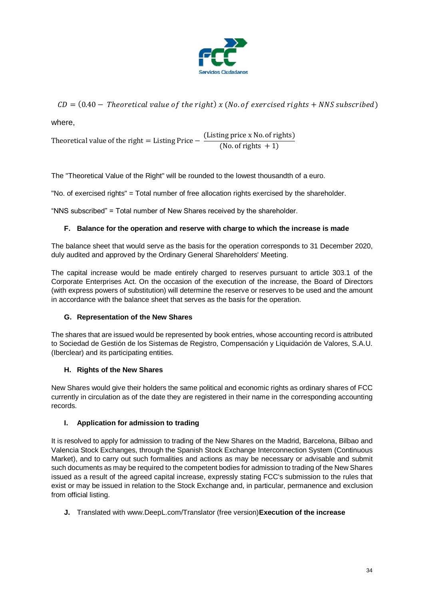

 $CD = (0.40 - Theoretical value of the right)$  x (No. of exercised rights + NNS subscribed)

where,

Theoretical value of the right = Listing Price  $-\frac{(\text{Listing price x No. of rights})}{(\text{Next. } \text{Let } +1)}$ (No. of rights  $+1$ )

The "Theoretical Value of the Right" will be rounded to the lowest thousandth of a euro.

"No. of exercised rights" = Total number of free allocation rights exercised by the shareholder.

"NNS subscribed" = Total number of New Shares received by the shareholder.

## **F. Balance for the operation and reserve with charge to which the increase is made**

The balance sheet that would serve as the basis for the operation corresponds to 31 December 2020, duly audited and approved by the Ordinary General Shareholders' Meeting.

The capital increase would be made entirely charged to reserves pursuant to article 303.1 of the Corporate Enterprises Act. On the occasion of the execution of the increase, the Board of Directors (with express powers of substitution) will determine the reserve or reserves to be used and the amount in accordance with the balance sheet that serves as the basis for the operation.

# **G. Representation of the New Shares**

The shares that are issued would be represented by book entries, whose accounting record is attributed to Sociedad de Gestión de los Sistemas de Registro, Compensación y Liquidación de Valores, S.A.U. (Iberclear) and its participating entities.

# **H. Rights of the New Shares**

New Shares would give their holders the same political and economic rights as ordinary shares of FCC currently in circulation as of the date they are registered in their name in the corresponding accounting records.

# **I. Application for admission to trading**

It is resolved to apply for admission to trading of the New Shares on the Madrid, Barcelona, Bilbao and Valencia Stock Exchanges, through the Spanish Stock Exchange Interconnection System (Continuous Market), and to carry out such formalities and actions as may be necessary or advisable and submit such documents as may be required to the competent bodies for admission to trading of the New Shares issued as a result of the agreed capital increase, expressly stating FCC's submission to the rules that exist or may be issued in relation to the Stock Exchange and, in particular, permanence and exclusion from official listing.

**J.** Translated with www.DeepL.com/Translator (free version)**Execution of the increase**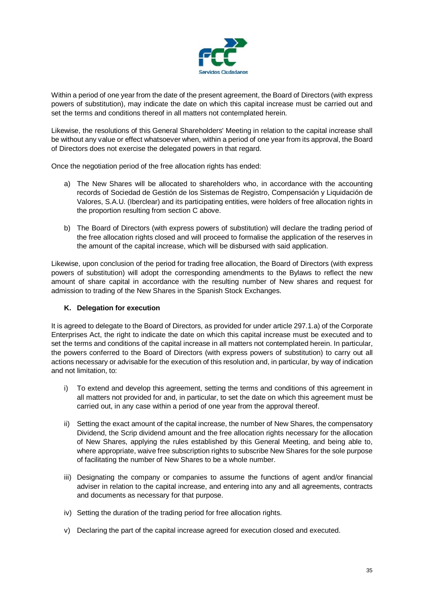

Within a period of one year from the date of the present agreement, the Board of Directors (with express powers of substitution), may indicate the date on which this capital increase must be carried out and set the terms and conditions thereof in all matters not contemplated herein.

Likewise, the resolutions of this General Shareholders' Meeting in relation to the capital increase shall be without any value or effect whatsoever when, within a period of one year from its approval, the Board of Directors does not exercise the delegated powers in that regard.

Once the negotiation period of the free allocation rights has ended:

- a) The New Shares will be allocated to shareholders who, in accordance with the accounting records of Sociedad de Gestión de los Sistemas de Registro, Compensación y Liquidación de Valores, S.A.U. (Iberclear) and its participating entities, were holders of free allocation rights in the proportion resulting from section C above.
- b) The Board of Directors (with express powers of substitution) will declare the trading period of the free allocation rights closed and will proceed to formalise the application of the reserves in the amount of the capital increase, which will be disbursed with said application.

Likewise, upon conclusion of the period for trading free allocation, the Board of Directors (with express powers of substitution) will adopt the corresponding amendments to the Bylaws to reflect the new amount of share capital in accordance with the resulting number of New shares and request for admission to trading of the New Shares in the Spanish Stock Exchanges.

#### **K. Delegation for execution**

It is agreed to delegate to the Board of Directors, as provided for under article 297.1.a) of the Corporate Enterprises Act, the right to indicate the date on which this capital increase must be executed and to set the terms and conditions of the capital increase in all matters not contemplated herein. In particular, the powers conferred to the Board of Directors (with express powers of substitution) to carry out all actions necessary or advisable for the execution of this resolution and, in particular, by way of indication and not limitation, to:

- i) To extend and develop this agreement, setting the terms and conditions of this agreement in all matters not provided for and, in particular, to set the date on which this agreement must be carried out, in any case within a period of one year from the approval thereof.
- ii) Setting the exact amount of the capital increase, the number of New Shares, the compensatory Dividend, the Scrip dividend amount and the free allocation rights necessary for the allocation of New Shares, applying the rules established by this General Meeting, and being able to, where appropriate, waive free subscription rights to subscribe New Shares for the sole purpose of facilitating the number of New Shares to be a whole number.
- iii) Designating the company or companies to assume the functions of agent and/or financial adviser in relation to the capital increase, and entering into any and all agreements, contracts and documents as necessary for that purpose.
- iv) Setting the duration of the trading period for free allocation rights.
- v) Declaring the part of the capital increase agreed for execution closed and executed.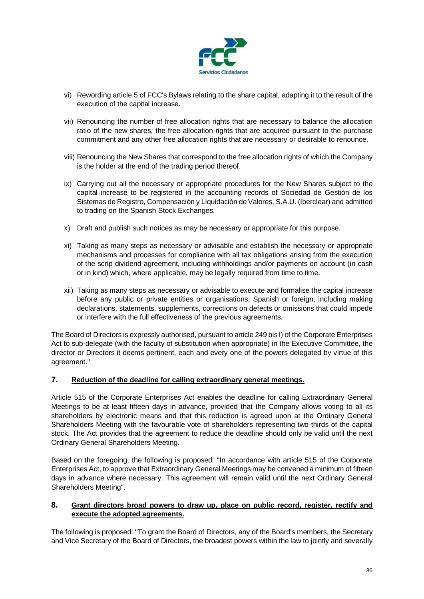

- vi) Rewording article 5 of FCC's Bylaws relating to the share capital, adapting it to the result of the execution of the capital increase.
- vii) Renouncing the number of free allocation rights that are necessary to balance the allocation ratio of the new shares, the free allocation rights that are acquired pursuant to the purchase commitment and any other free allocation rights that are necessary or desirable to renounce.
- viii) Renouncing the New Shares that correspond to the free allocation rights of which the Company is the holder at the end of the trading period thereof.
- ix) Carrying out all the necessary or appropriate procedures for the New Shares subject to the capital increase to be registered in the accounting records of Sociedad de Gestión de los Sistemas de Registro, Compensación y Liquidación de Valores, S.A.U. (Iberclear) and admitted to trading on the Spanish Stock Exchanges.
- x) Draft and publish such notices as may be necessary or appropriate for this purpose.
- xi) Taking as many steps as necessary or advisable and establish the necessary or appropriate mechanisms and processes for compliance with all tax obligations arising from the execution of the scrip dividend agreement, including withholdings and/or payments on account (in cash or in kind) which, where applicable, may be legally required from time to time.
- xii) Taking as many steps as necessary or advisable to execute and formalise the capital increase before any public or private entities or organisations, Spanish or foreign, including making declarations, statements, supplements, corrections on defects or omissions that could impede or interfere with the full effectiveness of the previous agreements.

The Board of Directors is expressly authorised, pursuant to article 249 bis l) of the Corporate Enterprises Act to sub-delegate (with the faculty of substitution when appropriate) in the Executive Committee, the director or Directors it deems pertinent, each and every one of the powers delegated by virtue of this agreement."

#### **7. Reduction of the deadline for calling extraordinary general meetings.**

Article 515 of the Corporate Enterprises Act enables the deadline for calling Extraordinary General Meetings to be at least fifteen days in advance, provided that the Company allows voting to all its shareholders by electronic means and that this reduction is agreed upon at the Ordinary General Shareholders Meeting with the favourable vote of shareholders representing two-thirds of the capital stock. The Act provides that the agreement to reduce the deadline should only be valid until the next Ordinary General Shareholders Meeting.

Based on the foregoing, the following is proposed: "In accordance with article 515 of the Corporate Enterprises Act, to approve that Extraordinary General Meetings may be convened a minimum of fifteen days in advance where necessary. This agreement will remain valid until the next Ordinary General Shareholders Meeting".

## **8. Grant directors broad powers to draw up, place on public record, register, rectify and execute the adopted agreements.**

The following is proposed: "To grant the Board of Directors, any of the Board's members, the Secretary and Vice Secretary of the Board of Directors, the broadest powers within the law to jointly and severally